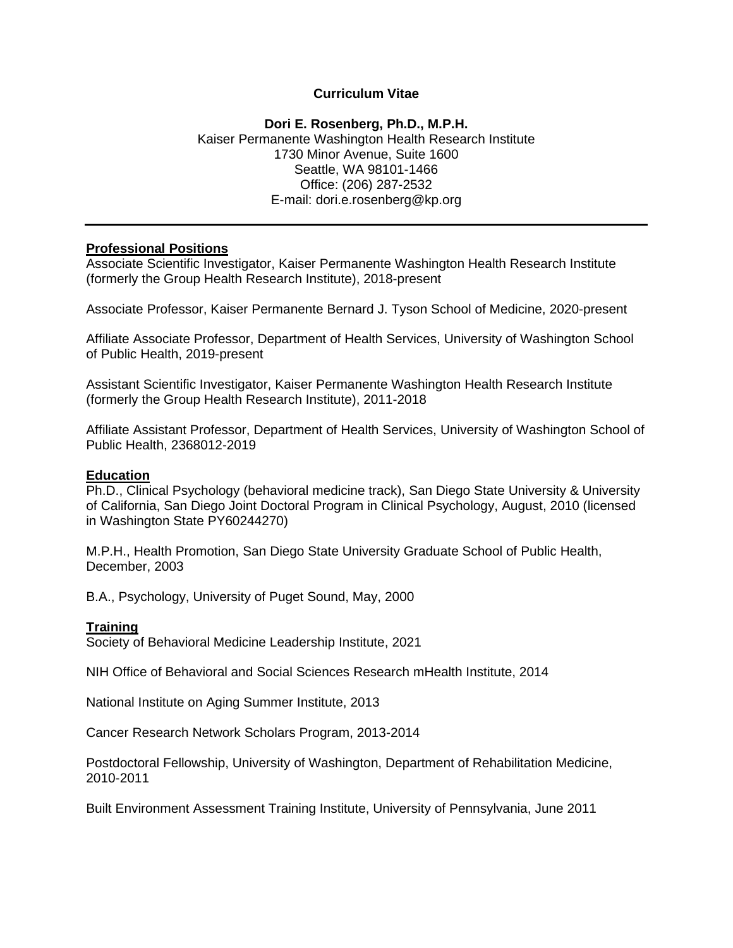#### **Curriculum Vitae**

#### **Dori E. Rosenberg, Ph.D., M.P.H.** Kaiser Permanente Washington Health Research Institute 1730 Minor Avenue, Suite 1600 Seattle, WA 98101-1466 Office: (206) 287-2532 E-mail: dori.e.rosenberg@kp.org

#### **Professional Positions**

Associate Scientific Investigator, Kaiser Permanente Washington Health Research Institute (formerly the Group Health Research Institute), 2018-present

Associate Professor, Kaiser Permanente Bernard J. Tyson School of Medicine, 2020-present

Affiliate Associate Professor, Department of Health Services, University of Washington School of Public Health, 2019-present

Assistant Scientific Investigator, Kaiser Permanente Washington Health Research Institute (formerly the Group Health Research Institute), 2011-2018

Affiliate Assistant Professor, Department of Health Services, University of Washington School of Public Health, 2368012-2019

#### **Education**

Ph.D., Clinical Psychology (behavioral medicine track), San Diego State University & University of California, San Diego Joint Doctoral Program in Clinical Psychology, August, 2010 (licensed in Washington State PY60244270)

M.P.H., Health Promotion, San Diego State University Graduate School of Public Health, December, 2003

B.A., Psychology, University of Puget Sound, May, 2000

#### **Training**

Society of Behavioral Medicine Leadership Institute, 2021

NIH Office of Behavioral and Social Sciences Research mHealth Institute, 2014

National Institute on Aging Summer Institute, 2013

Cancer Research Network Scholars Program, 2013-2014

Postdoctoral Fellowship, University of Washington, Department of Rehabilitation Medicine, 2010-2011

Built Environment Assessment Training Institute, University of Pennsylvania, June 2011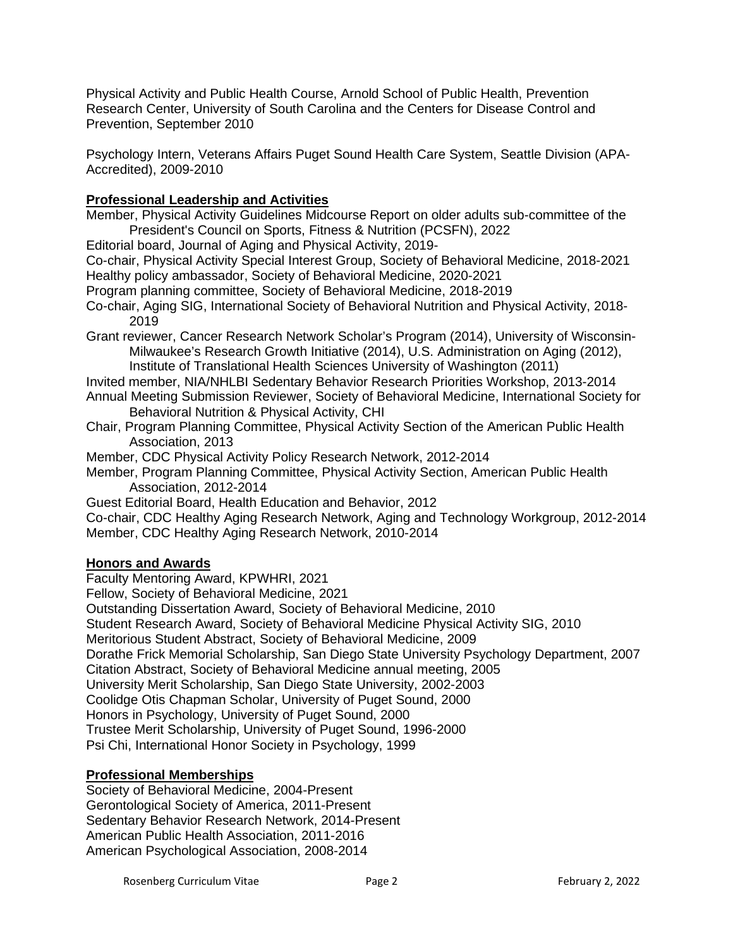Physical Activity and Public Health Course, Arnold School of Public Health, Prevention Research Center, University of South Carolina and the Centers for Disease Control and Prevention, September 2010

Psychology Intern, Veterans Affairs Puget Sound Health Care System, Seattle Division (APA-Accredited), 2009-2010

## **Professional Leadership and Activities**

Member, Physical Activity Guidelines Midcourse Report on older adults sub-committee of the President's Council on Sports, Fitness & Nutrition (PCSFN), 2022

Editorial board, Journal of Aging and Physical Activity, 2019-

Co-chair, Physical Activity Special Interest Group, Society of Behavioral Medicine, 2018-2021 Healthy policy ambassador, Society of Behavioral Medicine, 2020-2021

Program planning committee, Society of Behavioral Medicine, 2018-2019

- Co-chair, Aging SIG, International Society of Behavioral Nutrition and Physical Activity, 2018- 2019
- Grant reviewer, Cancer Research Network Scholar's Program (2014), University of Wisconsin-Milwaukee's Research Growth Initiative (2014), U.S. Administration on Aging (2012), Institute of Translational Health Sciences University of Washington (2011)
- Invited member, NIA/NHLBI Sedentary Behavior Research Priorities Workshop, 2013-2014 Annual Meeting Submission Reviewer, Society of Behavioral Medicine, International Society for Behavioral Nutrition & Physical Activity, CHI
- Chair, Program Planning Committee, Physical Activity Section of the American Public Health Association, 2013

Member, CDC Physical Activity Policy Research Network, 2012-2014

Member, Program Planning Committee, Physical Activity Section, American Public Health Association, 2012-2014

Guest Editorial Board, Health Education and Behavior, 2012

Co-chair, CDC Healthy Aging Research Network, Aging and Technology Workgroup, 2012-2014 Member, CDC Healthy Aging Research Network, 2010-2014

### **Honors and Awards**

Faculty Mentoring Award, KPWHRI, 2021

Fellow, Society of Behavioral Medicine, 2021

Outstanding Dissertation Award, Society of Behavioral Medicine, 2010

Student Research Award, Society of Behavioral Medicine Physical Activity SIG, 2010

Meritorious Student Abstract, Society of Behavioral Medicine, 2009

Dorathe Frick Memorial Scholarship, San Diego State University Psychology Department, 2007

Citation Abstract, Society of Behavioral Medicine annual meeting, 2005

University Merit Scholarship, San Diego State University, 2002-2003

Coolidge Otis Chapman Scholar, University of Puget Sound, 2000

Honors in Psychology, University of Puget Sound, 2000

Trustee Merit Scholarship, University of Puget Sound, 1996-2000

Psi Chi, International Honor Society in Psychology, 1999

# **Professional Memberships**

Society of Behavioral Medicine, 2004-Present Gerontological Society of America, 2011-Present Sedentary Behavior Research Network, 2014-Present American Public Health Association, 2011-2016 American Psychological Association, 2008-2014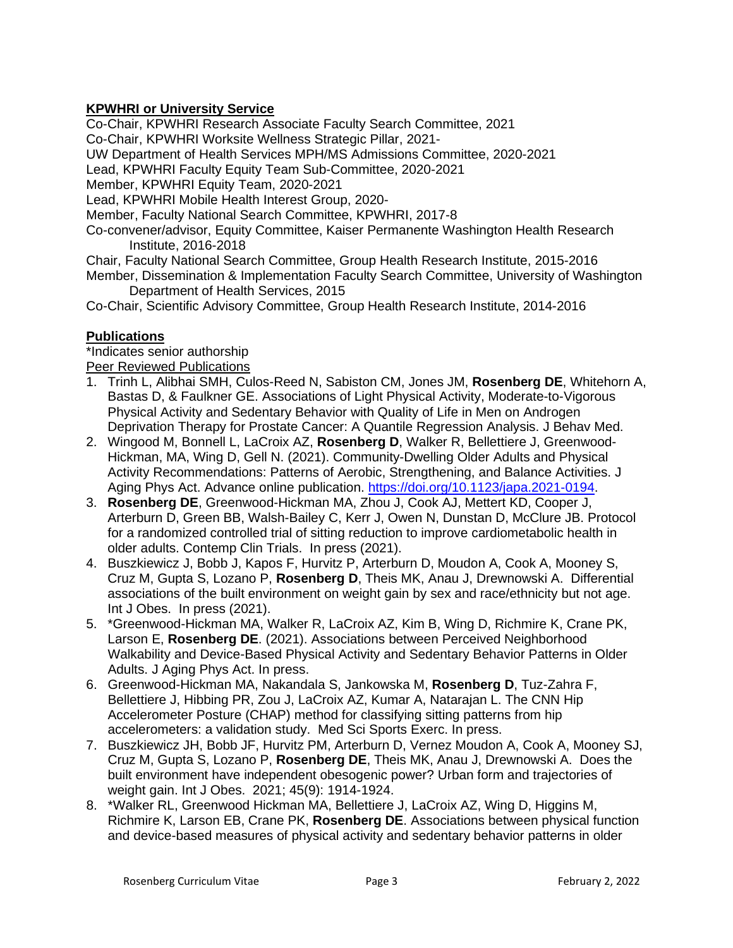# **KPWHRI or University Service**

Co-Chair, KPWHRI Research Associate Faculty Search Committee, 2021

Co-Chair, KPWHRI Worksite Wellness Strategic Pillar, 2021-

UW Department of Health Services MPH/MS Admissions Committee, 2020-2021

Lead, KPWHRI Faculty Equity Team Sub-Committee, 2020-2021

Member, KPWHRI Equity Team, 2020-2021

Lead, KPWHRI Mobile Health Interest Group, 2020-

Member, Faculty National Search Committee, KPWHRI, 2017-8

Co-convener/advisor, Equity Committee, Kaiser Permanente Washington Health Research Institute, 2016-2018

Chair, Faculty National Search Committee, Group Health Research Institute, 2015-2016 Member, Dissemination & Implementation Faculty Search Committee, University of Washington Department of Health Services, 2015

Co-Chair, Scientific Advisory Committee, Group Health Research Institute, 2014-2016

### **Publications**

\*Indicates senior authorship **Peer Reviewed Publications** 

- 1. Trinh L, Alibhai SMH, Culos-Reed N, Sabiston CM, Jones JM, **Rosenberg DE**, Whitehorn A, Bastas D, & Faulkner GE. Associations of Light Physical Activity, Moderate-to-Vigorous Physical Activity and Sedentary Behavior with Quality of Life in Men on Androgen Deprivation Therapy for Prostate Cancer: A Quantile Regression Analysis. J Behav Med.
- 2. Wingood M, Bonnell L, LaCroix AZ, **Rosenberg D**, Walker R, Bellettiere J, Greenwood-Hickman, MA, Wing D, Gell N. (2021). Community-Dwelling Older Adults and Physical Activity Recommendations: Patterns of Aerobic, Strengthening, and Balance Activities. J Aging Phys Act. Advance online publication. [https://doi.org/10.1123/japa.2021-0194.](https://urldefense.com/v3/__https:/na01.safelinks.protection.outlook.com/?url=https*3A*2F*2Fdoi.org*2F10.1123*2Fjapa.2021-0194&data=04*7C01*7C*7Cb63460f829464bee70a508d98fd99ac6*7C84df9e7fe9f640afb435aaaaaaaaaaaa*7C1*7C0*7C637698987030808902*7CUnknown*7CTWFpbGZsb3d8eyJWIjoiMC4wLjAwMDAiLCJQIjoiV2luMzIiLCJBTiI6Ik1haWwiLCJXVCI6Mn0*3D*7C1000&sdata=*2FlizCRocyGAk9noj9xm9dOEoBnG0qfbKio54J6tTvv8*3D&reserved=0__;JSUlJSUlJSUlJSUlJSUlJSUl!!BZ50a36bapWJ!6dQy5EeiVNJo05bpOMvEMCxQe13FjeYpExtTtYBkT0KvMc_xo10pEoeG99Ky9Kzxw0c$)
- 3. **Rosenberg DE**, Greenwood-Hickman MA, Zhou J, Cook AJ, Mettert KD, Cooper J, Arterburn D, Green BB, Walsh-Bailey C, Kerr J, Owen N, Dunstan D, McClure JB. Protocol for a randomized controlled trial of sitting reduction to improve cardiometabolic health in older adults. Contemp Clin Trials. In press (2021).
- 4. Buszkiewicz J, Bobb J, Kapos F, Hurvitz P, Arterburn D, Moudon A, Cook A, Mooney S, Cruz M, Gupta S, Lozano P, **Rosenberg D**, Theis MK, Anau J, Drewnowski A. Differential associations of the built environment on weight gain by sex and race/ethnicity but not age. Int J Obes. In press (2021).
- 5. \*Greenwood-Hickman MA, Walker R, LaCroix AZ, Kim B, Wing D, Richmire K, Crane PK, Larson E, **Rosenberg DE**. (2021). Associations between Perceived Neighborhood Walkability and Device-Based Physical Activity and Sedentary Behavior Patterns in Older Adults. J Aging Phys Act. In press.
- 6. Greenwood-Hickman MA, Nakandala S, Jankowska M, **Rosenberg D**, Tuz-Zahra F, Bellettiere J, Hibbing PR, Zou J, LaCroix AZ, Kumar A, Natarajan L. The CNN Hip Accelerometer Posture (CHAP) method for classifying sitting patterns from hip accelerometers: a validation study. Med Sci Sports Exerc. In press.
- 7. Buszkiewicz JH, Bobb JF, Hurvitz PM, Arterburn D, Vernez Moudon A, Cook A, Mooney SJ, Cruz M, Gupta S, Lozano P, **Rosenberg DE**, Theis MK, Anau J, Drewnowski A. Does the built environment have independent obesogenic power? Urban form and trajectories of weight gain. Int J Obes. 2021; 45(9): 1914-1924.
- 8. \*Walker RL, Greenwood Hickman MA, Bellettiere J, LaCroix AZ, Wing D, Higgins M, Richmire K, Larson EB, Crane PK, **Rosenberg DE**. Associations between physical function and device-based measures of physical activity and sedentary behavior patterns in older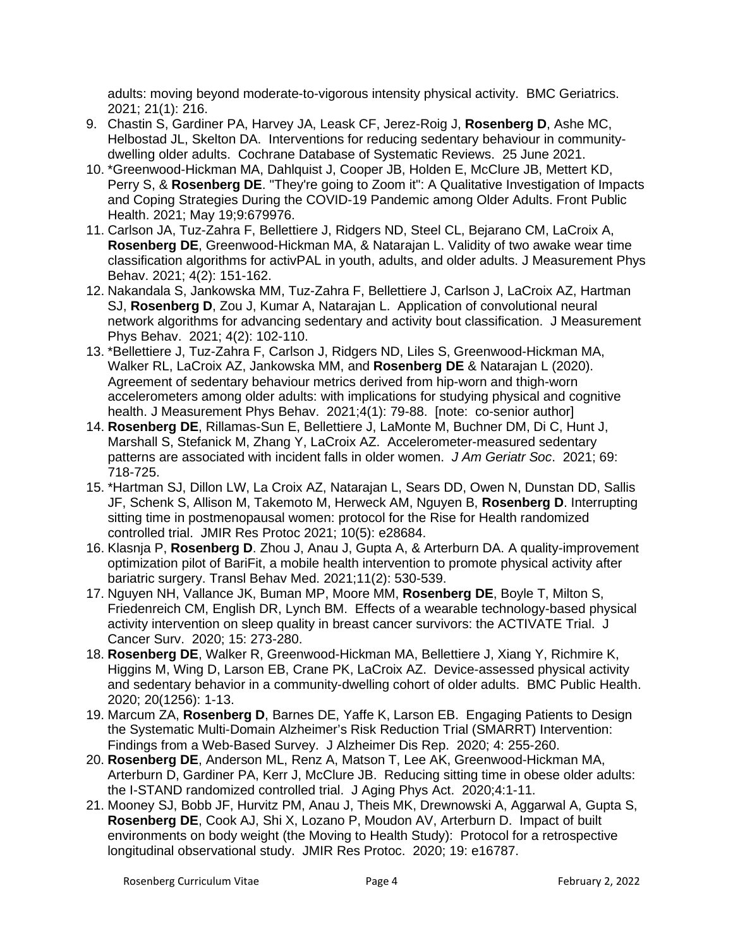adults: moving beyond moderate-to-vigorous intensity physical activity. BMC Geriatrics. 2021; 21(1): 216.

- 9. Chastin S, Gardiner PA, Harvey JA, Leask CF, Jerez-Roig J, **Rosenberg D**, Ashe MC, Helbostad JL, Skelton DA. Interventions for reducing sedentary behaviour in communitydwelling older adults. Cochrane Database of Systematic Reviews. 25 June 2021.
- 10. \*Greenwood-Hickman MA, Dahlquist J, Cooper JB, Holden E, McClure JB, Mettert KD, Perry S, & **Rosenberg DE**. "They're going to Zoom it": A Qualitative Investigation of Impacts and Coping Strategies During the COVID-19 Pandemic among Older Adults. Front Public Health. 2021; May 19;9:679976.
- 11. Carlson JA, Tuz-Zahra F, Bellettiere J, Ridgers ND, Steel CL, Bejarano CM, LaCroix A, **Rosenberg DE**, Greenwood-Hickman MA, & Natarajan L. Validity of two awake wear time classification algorithms for activPAL in youth, adults, and older adults. J Measurement Phys Behav. 2021; 4(2): 151-162.
- 12. Nakandala S, Jankowska MM, Tuz-Zahra F, Bellettiere J, Carlson J, LaCroix AZ, Hartman SJ, **Rosenberg D**, Zou J, Kumar A, Natarajan L. Application of convolutional neural network algorithms for advancing sedentary and activity bout classification. J Measurement Phys Behav. 2021; 4(2): 102-110.
- 13. \*Bellettiere J, Tuz-Zahra F, Carlson J, Ridgers ND, Liles S, Greenwood-Hickman MA, Walker RL, LaCroix AZ, Jankowska MM, and **Rosenberg DE** & Natarajan L (2020). Agreement of sedentary behaviour metrics derived from hip-worn and thigh-worn accelerometers among older adults: with implications for studying physical and cognitive health. J Measurement Phys Behav. 2021;4(1): 79-88. [note: co-senior author]
- 14. **Rosenberg DE**, Rillamas-Sun E, Bellettiere J, LaMonte M, Buchner DM, Di C, Hunt J, Marshall S, Stefanick M, Zhang Y, LaCroix AZ. Accelerometer-measured sedentary patterns are associated with incident falls in older women. *J Am Geriatr Soc*. 2021; 69: 718-725.
- 15. \*Hartman SJ, Dillon LW, La Croix AZ, Natarajan L, Sears DD, Owen N, Dunstan DD, Sallis JF, Schenk S, Allison M, Takemoto M, Herweck AM, Nguyen B, **Rosenberg D**. Interrupting sitting time in postmenopausal women: protocol for the Rise for Health randomized controlled trial. JMIR Res Protoc 2021; 10(5): e28684.
- 16. Klasnja P, **Rosenberg D**. Zhou J, Anau J, Gupta A, & Arterburn DA. A quality-improvement optimization pilot of BariFit, a mobile health intervention to promote physical activity after bariatric surgery. Transl Behav Med. 2021;11(2): 530-539.
- 17. Nguyen NH, Vallance JK, Buman MP, Moore MM, **Rosenberg DE**, Boyle T, Milton S, Friedenreich CM, English DR, Lynch BM. Effects of a wearable technology-based physical activity intervention on sleep quality in breast cancer survivors: the ACTIVATE Trial. J Cancer Surv. 2020; 15: 273-280.
- 18. **Rosenberg DE**, Walker R, Greenwood-Hickman MA, Bellettiere J, Xiang Y, Richmire K, Higgins M, Wing D, Larson EB, Crane PK, LaCroix AZ. Device-assessed physical activity and sedentary behavior in a community-dwelling cohort of older adults. BMC Public Health. 2020; 20(1256): 1-13.
- 19. Marcum ZA, **Rosenberg D**, Barnes DE, Yaffe K, Larson EB. Engaging Patients to Design the Systematic Multi-Domain Alzheimer's Risk Reduction Trial (SMARRT) Intervention: Findings from a Web-Based Survey. J Alzheimer Dis Rep. 2020; 4: 255-260.
- 20. **Rosenberg DE**, Anderson ML, Renz A, Matson T, Lee AK, Greenwood-Hickman MA, Arterburn D, Gardiner PA, Kerr J, McClure JB. Reducing sitting time in obese older adults: the I-STAND randomized controlled trial. J Aging Phys Act. 2020;4:1-11.
- 21. Mooney SJ, Bobb JF, Hurvitz PM, Anau J, Theis MK, Drewnowski A, Aggarwal A, Gupta S, **Rosenberg DE**, Cook AJ, Shi X, Lozano P, Moudon AV, Arterburn D. Impact of built environments on body weight (the Moving to Health Study): Protocol for a retrospective longitudinal observational study. JMIR Res Protoc. 2020; 19: e16787.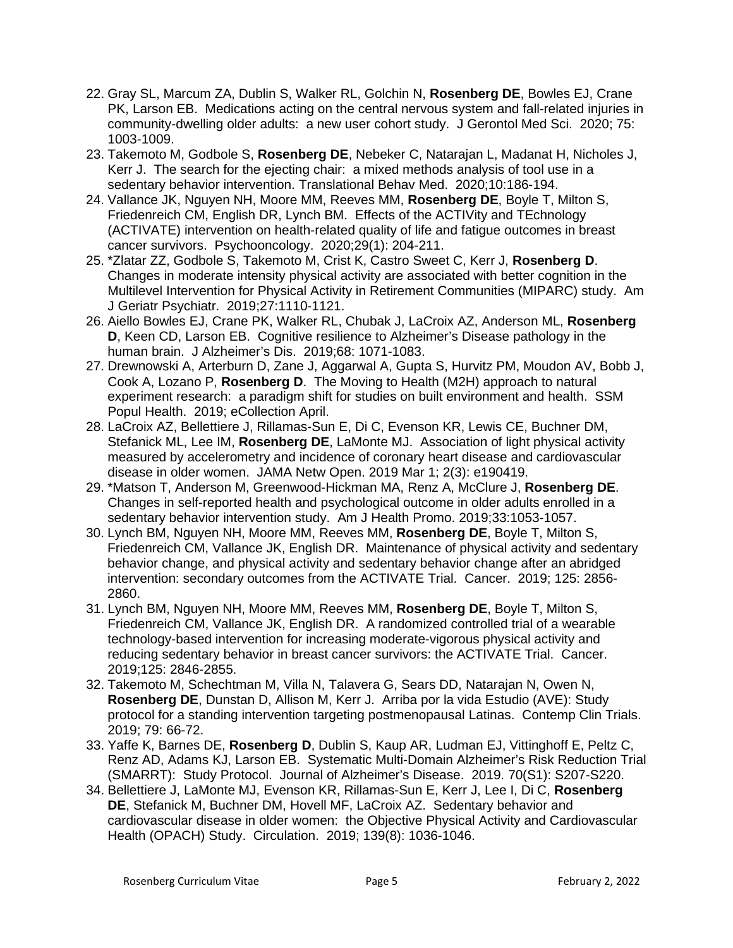- 22. Gray SL, Marcum ZA, Dublin S, Walker RL, Golchin N, **Rosenberg DE**, Bowles EJ, Crane PK, Larson EB. Medications acting on the central nervous system and fall-related injuries in community-dwelling older adults: a new user cohort study. J Gerontol Med Sci. 2020; 75: 1003-1009.
- 23. Takemoto M, Godbole S, **Rosenberg DE**, Nebeker C, Natarajan L, Madanat H, Nicholes J, Kerr J. The search for the ejecting chair: a mixed methods analysis of tool use in a sedentary behavior intervention. Translational Behav Med. 2020;10:186-194.
- 24. Vallance JK, Nguyen NH, Moore MM, Reeves MM, **Rosenberg DE**, Boyle T, Milton S, Friedenreich CM, English DR, Lynch BM. Effects of the ACTIVity and TEchnology (ACTIVATE) intervention on health-related quality of life and fatigue outcomes in breast cancer survivors. Psychooncology. 2020;29(1): 204-211.
- 25. \*Zlatar ZZ, Godbole S, Takemoto M, Crist K, Castro Sweet C, Kerr J, **Rosenberg D**. Changes in moderate intensity physical activity are associated with better cognition in the Multilevel Intervention for Physical Activity in Retirement Communities (MIPARC) study. Am J Geriatr Psychiatr. 2019;27:1110-1121.
- 26. Aiello Bowles EJ, Crane PK, Walker RL, Chubak J, LaCroix AZ, Anderson ML, **Rosenberg D**, Keen CD, Larson EB. Cognitive resilience to Alzheimer's Disease pathology in the human brain. J Alzheimer's Dis. 2019;68: 1071-1083.
- 27. Drewnowski A, Arterburn D, Zane J, Aggarwal A, Gupta S, Hurvitz PM, Moudon AV, Bobb J, Cook A, Lozano P, **Rosenberg D**. The Moving to Health (M2H) approach to natural experiment research: a paradigm shift for studies on built environment and health. SSM Popul Health. 2019; eCollection April.
- 28. LaCroix AZ, Bellettiere J, Rillamas-Sun E, Di C, Evenson KR, Lewis CE, Buchner DM, Stefanick ML, Lee IM, **Rosenberg DE**, LaMonte MJ. Association of light physical activity measured by accelerometry and incidence of coronary heart disease and cardiovascular disease in older women. JAMA Netw Open. 2019 Mar 1; 2(3): e190419.
- 29. \*Matson T, Anderson M, Greenwood-Hickman MA, Renz A, McClure J, **Rosenberg DE**. Changes in self-reported health and psychological outcome in older adults enrolled in a sedentary behavior intervention study. Am J Health Promo. 2019;33:1053-1057.
- 30. Lynch BM, Nguyen NH, Moore MM, Reeves MM, **Rosenberg DE**, Boyle T, Milton S, Friedenreich CM, Vallance JK, English DR. Maintenance of physical activity and sedentary behavior change, and physical activity and sedentary behavior change after an abridged intervention: secondary outcomes from the ACTIVATE Trial. Cancer. 2019; 125: 2856- 2860.
- 31. Lynch BM, Nguyen NH, Moore MM, Reeves MM, **Rosenberg DE**, Boyle T, Milton S, Friedenreich CM, Vallance JK, English DR. A randomized controlled trial of a wearable technology-based intervention for increasing moderate-vigorous physical activity and reducing sedentary behavior in breast cancer survivors: the ACTIVATE Trial. Cancer. 2019;125: 2846-2855.
- 32. Takemoto M, Schechtman M, Villa N, Talavera G, Sears DD, Natarajan N, Owen N, **Rosenberg DE**, Dunstan D, Allison M, Kerr J. Arriba por la vida Estudio (AVE): Study protocol for a standing intervention targeting postmenopausal Latinas. Contemp Clin Trials. 2019; 79: 66-72.
- 33. Yaffe K, Barnes DE, **Rosenberg D**, Dublin S, Kaup AR, Ludman EJ, Vittinghoff E, Peltz C, Renz AD, Adams KJ, Larson EB. Systematic Multi-Domain Alzheimer's Risk Reduction Trial (SMARRT): Study Protocol. Journal of Alzheimer's Disease. 2019. 70(S1): S207-S220.
- 34. Bellettiere J, LaMonte MJ, Evenson KR, Rillamas-Sun E, Kerr J, Lee I, Di C, **Rosenberg DE**, Stefanick M, Buchner DM, Hovell MF, LaCroix AZ. Sedentary behavior and cardiovascular disease in older women: the Objective Physical Activity and Cardiovascular Health (OPACH) Study. Circulation. 2019; 139(8): 1036-1046.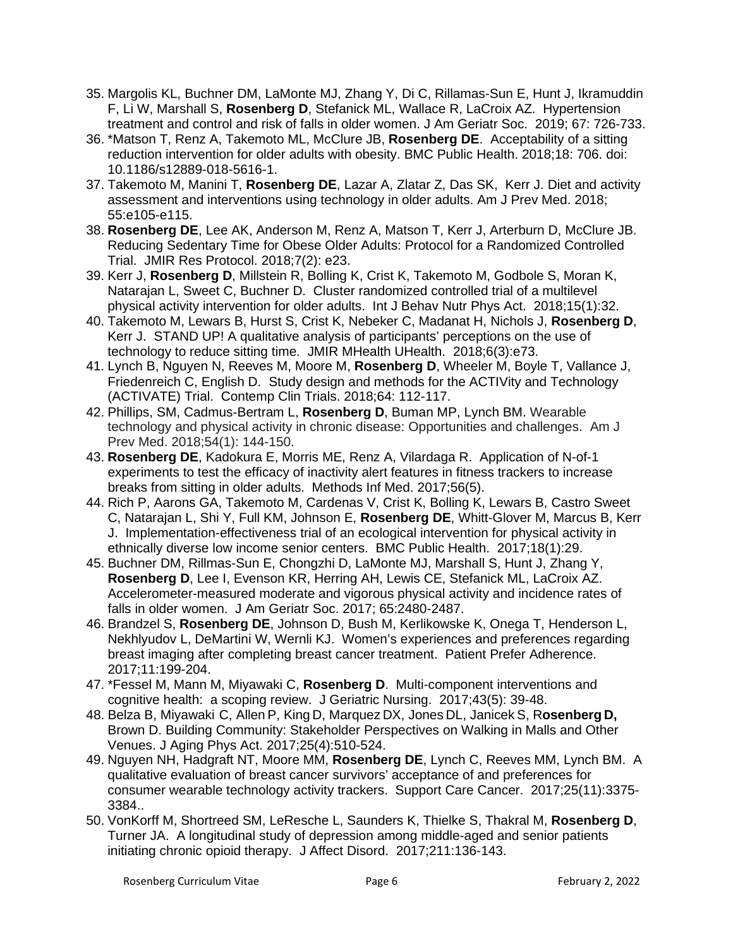- 35. Margolis KL, Buchner DM, LaMonte MJ, Zhang Y, Di C, Rillamas-Sun E, Hunt J, Ikramuddin F, Li W, Marshall S, **Rosenberg D**, Stefanick ML, Wallace R, LaCroix AZ. Hypertension treatment and control and risk of falls in older women. J Am Geriatr Soc. 2019; 67: 726-733.
- 36. \*Matson T, Renz A, Takemoto ML, McClure JB, **Rosenberg DE**. Acceptability of a sitting reduction intervention for older adults with obesity. BMC Public Health. 2018;18: 706. doi: 10.1186/s12889-018-5616-1.
- 37. Takemoto M, Manini T, **Rosenberg DE**, Lazar A, Zlatar Z, Das SK, Kerr J. Diet and activity assessment and interventions using technology in older adults. Am J Prev Med. 2018; 55:e105-e115.
- 38. **Rosenberg DE**, Lee AK, Anderson M, Renz A, Matson T, Kerr J, Arterburn D, McClure JB. Reducing Sedentary Time for Obese Older Adults: Protocol for a Randomized Controlled Trial. JMIR Res Protocol. 2018;7(2): e23.
- 39. Kerr J, **Rosenberg D**, Millstein R, Bolling K, Crist K, Takemoto M, Godbole S, Moran K, Natarajan L, Sweet C, Buchner D. Cluster randomized controlled trial of a multilevel physical activity intervention for older adults. Int J Behav Nutr Phys Act. 2018;15(1):32.
- 40. Takemoto M, Lewars B, Hurst S, Crist K, Nebeker C, Madanat H, Nichols J, **Rosenberg D**, Kerr J. STAND UP! A qualitative analysis of participants' perceptions on the use of technology to reduce sitting time. JMIR MHealth UHealth. 2018;6(3):e73.
- 41. Lynch B, Nguyen N, Reeves M, Moore M, **Rosenberg D**, Wheeler M, Boyle T, Vallance J, Friedenreich C, English D. Study design and methods for the ACTIVity and Technology (ACTIVATE) Trial. Contemp Clin Trials. 2018;64: 112-117.
- 42. Phillips, SM, Cadmus-Bertram L, **Rosenberg D**, Buman MP, Lynch BM. Wearable technology and physical activity in chronic disease: Opportunities and challenges. Am J Prev Med. 2018;54(1): 144-150.
- 43. **Rosenberg DE**, Kadokura E, Morris ME, Renz A, Vilardaga R. Application of N-of-1 experiments to test the efficacy of inactivity alert features in fitness trackers to increase breaks from sitting in older adults. Methods Inf Med. 2017;56(5).
- 44. Rich P, Aarons GA, Takemoto M, Cardenas V, Crist K, Bolling K, Lewars B, Castro Sweet C, Natarajan L, Shi Y, Full KM, Johnson E, **Rosenberg DE**, Whitt-Glover M, Marcus B, Kerr J. Implementation-effectiveness trial of an ecological intervention for physical activity in ethnically diverse low income senior centers. BMC Public Health. 2017;18(1):29.
- 45. Buchner DM, Rillmas-Sun E, Chongzhi D, LaMonte MJ, Marshall S, Hunt J, Zhang Y, **Rosenberg D**, Lee I, Evenson KR, Herring AH, Lewis CE, Stefanick ML, LaCroix AZ. Accelerometer-measured moderate and vigorous physical activity and incidence rates of falls in older women. J Am Geriatr Soc. 2017; 65:2480-2487.
- 46. Brandzel S, **Rosenberg DE**, Johnson D, Bush M, Kerlikowske K, Onega T, Henderson L, Nekhlyudov L, DeMartini W, Wernli KJ. Women's experiences and preferences regarding breast imaging after completing breast cancer treatment. Patient Prefer Adherence. 2017;11:199-204.
- 47. \*Fessel M, Mann M, Miyawaki C, **Rosenberg D**. Multi-component interventions and cognitive health: a scoping review. J Geriatric Nursing. 2017;43(5): 39-48.
- 48. Belza B, Miyawaki C, Allen P, King D, Marquez DX, Jones DL, Janicek S, R**osenberg D,**  Brown D. Building Community: Stakeholder Perspectives on Walking in Malls and Other Venues. J Aging Phys Act. 2017;25(4):510-524.
- 49. Nguyen NH, Hadgraft NT, Moore MM, **Rosenberg DE**, Lynch C, Reeves MM, Lynch BM. A qualitative evaluation of breast cancer survivors' acceptance of and preferences for consumer wearable technology activity trackers. Support Care Cancer. 2017;25(11):3375- 3384..
- 50. VonKorff M, Shortreed SM, LeResche L, Saunders K, Thielke S, Thakral M, **Rosenberg D**, Turner JA. A longitudinal study of depression among middle-aged and senior patients initiating chronic opioid therapy. J Affect Disord. 2017;211:136-143.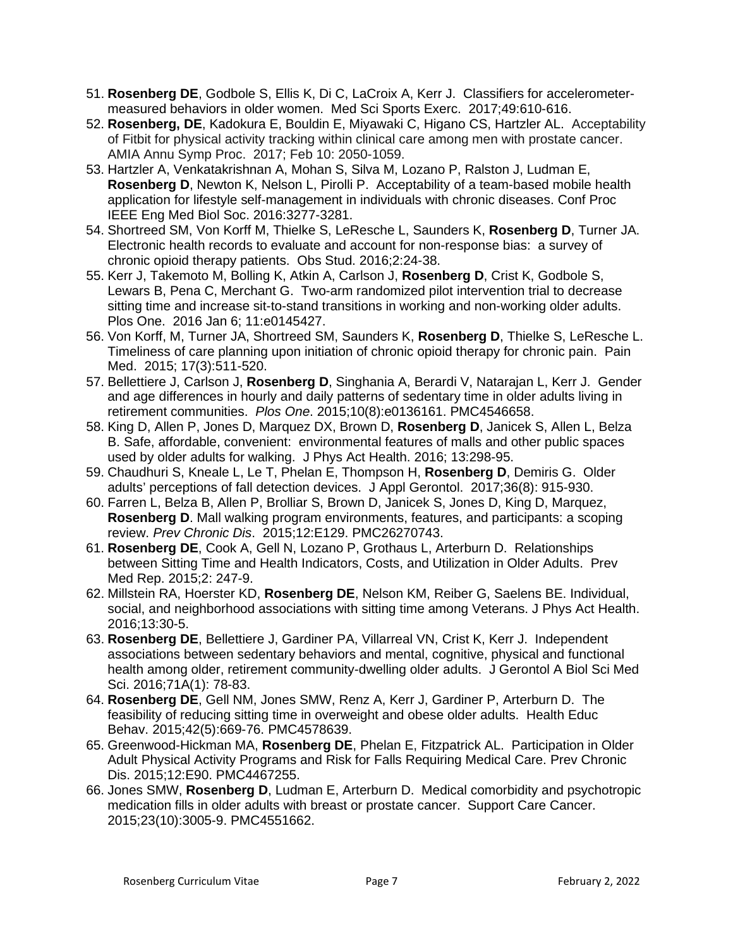- 51. **Rosenberg DE**, Godbole S, Ellis K, Di C, LaCroix A, Kerr J. Classifiers for accelerometermeasured behaviors in older women. Med Sci Sports Exerc. 2017;49:610-616.
- 52. **Rosenberg, DE**, Kadokura E, Bouldin E, Miyawaki C, Higano CS, Hartzler AL. Acceptability of Fitbit for physical activity tracking within clinical care among men with prostate cancer. AMIA Annu Symp Proc. 2017; Feb 10: 2050-1059.
- 53. Hartzler A, Venkatakrishnan A, Mohan S, Silva M, Lozano P, Ralston J, Ludman E, **Rosenberg D**, Newton K, Nelson L, Pirolli P. Acceptability of a team-based mobile health application for lifestyle self-management in individuals with chronic diseases. Conf Proc IEEE Eng Med Biol Soc. 2016:3277-3281.
- 54. Shortreed SM, Von Korff M, Thielke S, LeResche L, Saunders K, **Rosenberg D**, Turner JA. Electronic health records to evaluate and account for non-response bias: a survey of chronic opioid therapy patients. Obs Stud. 2016;2:24-38.
- 55. Kerr J, Takemoto M, Bolling K, Atkin A, Carlson J, **Rosenberg D**, Crist K, Godbole S, Lewars B, Pena C, Merchant G. Two-arm randomized pilot intervention trial to decrease sitting time and increase sit-to-stand transitions in working and non-working older adults. Plos One. 2016 Jan 6; 11:e0145427.
- 56. Von Korff, M, Turner JA, Shortreed SM, Saunders K, **Rosenberg D**, Thielke S, LeResche L. Timeliness of care planning upon initiation of chronic opioid therapy for chronic pain. Pain Med. 2015; 17(3):511-520.
- 57. Bellettiere J, Carlson J, **Rosenberg D**, Singhania A, Berardi V, Natarajan L, Kerr J. Gender and age differences in hourly and daily patterns of sedentary time in older adults living in retirement communities. *Plos One*. 2015;10(8):e0136161. PMC4546658.
- 58. King D, Allen P, Jones D, Marquez DX, Brown D, **Rosenberg D**, Janicek S, Allen L, Belza B. Safe, affordable, convenient: environmental features of malls and other public spaces used by older adults for walking. J Phys Act Health. 2016; 13:298-95.
- 59. Chaudhuri S, Kneale L, Le T, Phelan E, Thompson H, **Rosenberg D**, Demiris G. Older adults' perceptions of fall detection devices. J Appl Gerontol. 2017;36(8): 915-930.
- 60. Farren L, Belza B, Allen P, Brolliar S, Brown D, Janicek S, Jones D, King D, Marquez, **Rosenberg D**. Mall walking program environments, features, and participants: a scoping review. *Prev Chronic Dis*. 2015;12:E129. PMC26270743.
- 61. **Rosenberg DE**, Cook A, Gell N, Lozano P, Grothaus L, Arterburn D. Relationships between Sitting Time and Health Indicators, Costs, and Utilization in Older Adults. Prev Med Rep. 2015;2: 247-9.
- 62. Millstein RA, Hoerster KD, **Rosenberg DE**, Nelson KM, Reiber G, Saelens BE. Individual, social, and neighborhood associations with sitting time among Veterans. J Phys Act Health. 2016;13:30-5.
- 63. **Rosenberg DE**, Bellettiere J, Gardiner PA, Villarreal VN, Crist K, Kerr J. Independent associations between sedentary behaviors and mental, cognitive, physical and functional health among older, retirement community-dwelling older adults. J Gerontol A Biol Sci Med Sci. 2016;71A(1): 78-83.
- 64. **Rosenberg DE**, Gell NM, Jones SMW, Renz A, Kerr J, Gardiner P, Arterburn D. The feasibility of reducing sitting time in overweight and obese older adults. Health Educ Behav. 2015;42(5):669-76. PMC4578639.
- 65. Greenwood-Hickman MA, **Rosenberg DE**, Phelan E, Fitzpatrick AL. Participation in Older Adult Physical Activity Programs and Risk for Falls Requiring Medical Care. Prev Chronic Dis. 2015;12:E90. PMC4467255.
- 66. Jones SMW, **Rosenberg D**, Ludman E, Arterburn D. Medical comorbidity and psychotropic medication fills in older adults with breast or prostate cancer. Support Care Cancer. 2015;23(10):3005-9. PMC4551662.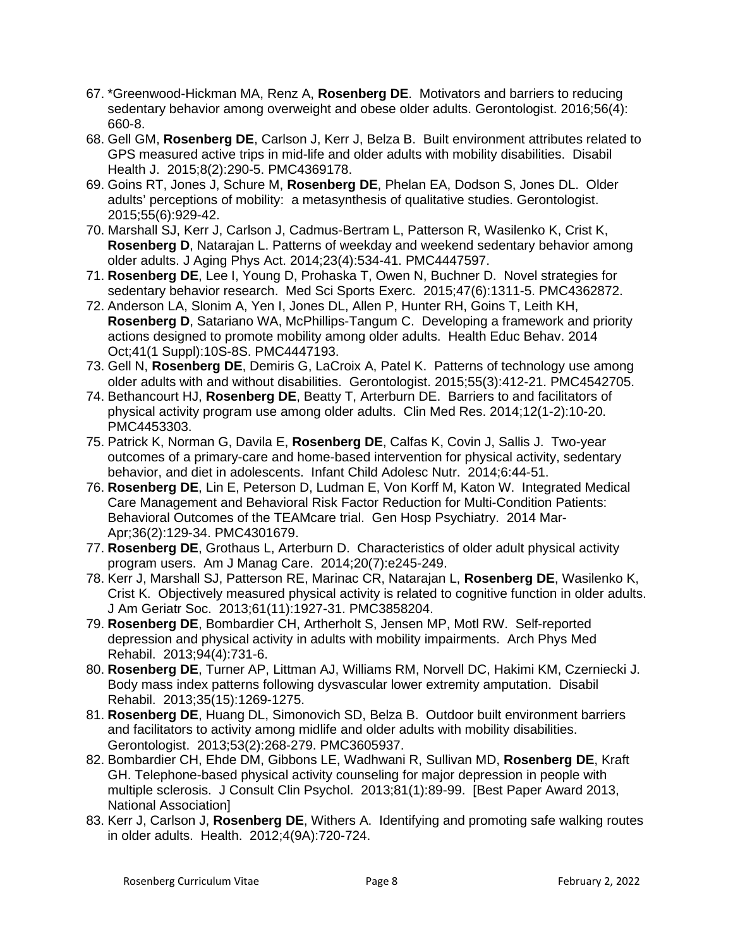- 67. \*Greenwood-Hickman MA, Renz A, **Rosenberg DE**. Motivators and barriers to reducing sedentary behavior among overweight and obese older adults. Gerontologist. 2016;56(4): 660-8.
- 68. Gell GM, **Rosenberg DE**, Carlson J, Kerr J, Belza B. Built environment attributes related to GPS measured active trips in mid-life and older adults with mobility disabilities. Disabil Health J. 2015;8(2):290-5. PMC4369178.
- 69. Goins RT, Jones J, Schure M, **Rosenberg DE**, Phelan EA, Dodson S, Jones DL. Older adults' perceptions of mobility: a metasynthesis of qualitative studies. Gerontologist. 2015;55(6):929-42.
- 70. Marshall SJ, Kerr J, Carlson J, Cadmus-Bertram L, Patterson R, Wasilenko K, Crist K, **Rosenberg D**, Natarajan L. Patterns of weekday and weekend sedentary behavior among older adults. J Aging Phys Act. 2014;23(4):534-41. PMC4447597.
- 71. **Rosenberg DE**, Lee I, Young D, Prohaska T, Owen N, Buchner D. Novel strategies for sedentary behavior research. Med Sci Sports Exerc. 2015;47(6):1311-5. PMC4362872.
- 72. Anderson LA, Slonim A, Yen I, Jones DL, Allen P, Hunter RH, Goins T, Leith KH, **Rosenberg D**, Satariano WA, McPhillips-Tangum C. Developing a framework and priority actions designed to promote mobility among older adults. Health Educ Behav. 2014 Oct;41(1 Suppl):10S-8S. PMC4447193.
- 73. Gell N, **Rosenberg DE**, Demiris G, LaCroix A, Patel K. Patterns of technology use among older adults with and without disabilities. Gerontologist. 2015;55(3):412-21. PMC4542705.
- 74. Bethancourt HJ, **Rosenberg DE**, Beatty T, Arterburn DE. Barriers to and facilitators of physical activity program use among older adults. Clin Med Res. 2014;12(1-2):10-20. PMC4453303.
- 75. Patrick K, Norman G, Davila E, **Rosenberg DE**, Calfas K, Covin J, Sallis J. Two-year outcomes of a primary-care and home-based intervention for physical activity, sedentary behavior, and diet in adolescents. Infant Child Adolesc Nutr. 2014;6:44-51.
- 76. **Rosenberg DE**, Lin E, Peterson D, Ludman E, Von Korff M, Katon W. Integrated Medical Care Management and Behavioral Risk Factor Reduction for Multi-Condition Patients: Behavioral Outcomes of the TEAMcare trial. Gen Hosp Psychiatry. 2014 Mar-Apr;36(2):129-34. PMC4301679.
- 77. **Rosenberg DE**, Grothaus L, Arterburn D. Characteristics of older adult physical activity program users. Am J Manag Care. 2014;20(7):e245-249.
- 78. Kerr J, Marshall SJ, Patterson RE, Marinac CR, Natarajan L, **Rosenberg DE**, Wasilenko K, Crist K. Objectively measured physical activity is related to cognitive function in older adults. J Am Geriatr Soc. 2013;61(11):1927-31. PMC3858204.
- 79. **Rosenberg DE**, Bombardier CH, Artherholt S, Jensen MP, Motl RW. Self-reported depression and physical activity in adults with mobility impairments. Arch Phys Med Rehabil. 2013;94(4):731-6.
- 80. **Rosenberg DE**, Turner AP, Littman AJ, Williams RM, Norvell DC, Hakimi KM, Czerniecki J. Body mass index patterns following dysvascular lower extremity amputation. Disabil Rehabil. 2013;35(15):1269-1275.
- 81. **Rosenberg DE**, Huang DL, Simonovich SD, Belza B. Outdoor built environment barriers and facilitators to activity among midlife and older adults with mobility disabilities. Gerontologist. 2013;53(2):268-279. PMC3605937.
- 82. Bombardier CH, Ehde DM, Gibbons LE, Wadhwani R, Sullivan MD, **Rosenberg DE**, Kraft GH. Telephone-based physical activity counseling for major depression in people with multiple sclerosis. J Consult Clin Psychol. 2013;81(1):89-99. [Best Paper Award 2013, National Association]
- 83. Kerr J, Carlson J, **Rosenberg DE**, Withers A. Identifying and promoting safe walking routes in older adults. Health. 2012;4(9A):720-724.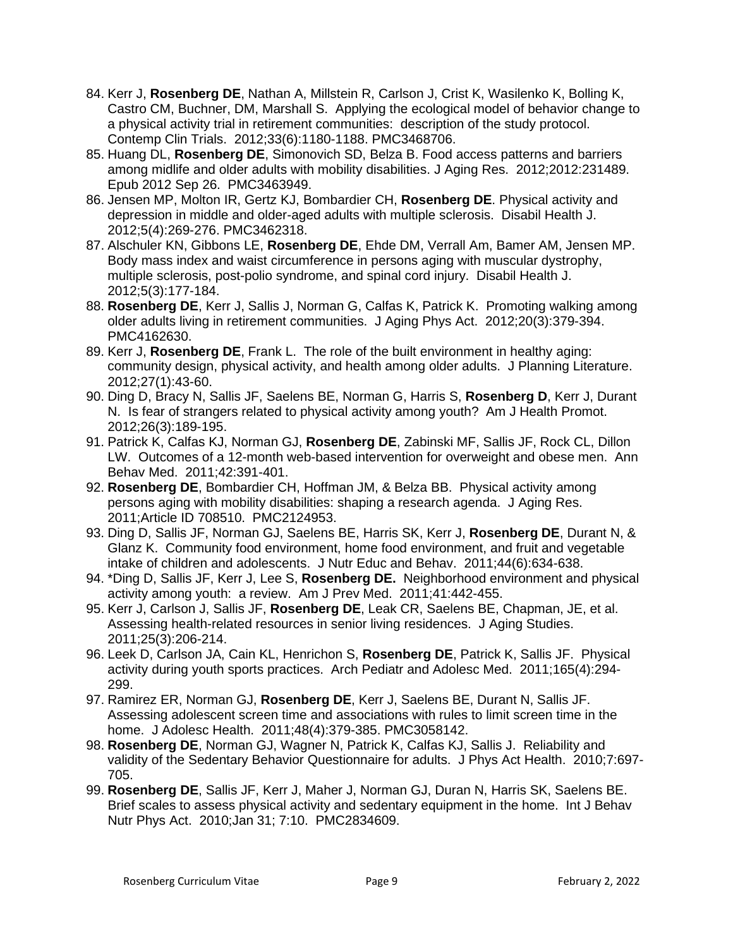- 84. Kerr J, **Rosenberg DE**, Nathan A, Millstein R, Carlson J, Crist K, Wasilenko K, Bolling K, Castro CM, Buchner, DM, Marshall S. Applying the ecological model of behavior change to a physical activity trial in retirement communities: description of the study protocol. Contemp Clin Trials. 2012;33(6):1180-1188. PMC3468706.
- 85. Huang DL, **Rosenberg DE**, Simonovich SD, Belza B. Food access patterns and barriers among midlife and older adults with mobility disabilities. J Aging Res. 2012;2012:231489. Epub 2012 Sep 26. PMC3463949.
- 86. Jensen MP, Molton IR, Gertz KJ, Bombardier CH, **Rosenberg DE**. Physical activity and depression in middle and older-aged adults with multiple sclerosis. Disabil Health J. 2012;5(4):269-276. PMC3462318.
- 87. Alschuler KN, Gibbons LE, **Rosenberg DE**, Ehde DM, Verrall Am, Bamer AM, Jensen MP. Body mass index and waist circumference in persons aging with muscular dystrophy, multiple sclerosis, post-polio syndrome, and spinal cord injury. Disabil Health J. 2012;5(3):177-184.
- 88. **Rosenberg DE**, Kerr J, Sallis J, Norman G, Calfas K, Patrick K. Promoting walking among older adults living in retirement communities. J Aging Phys Act. 2012;20(3):379-394. PMC4162630.
- 89. Kerr J, **Rosenberg DE**, Frank L. The role of the built environment in healthy aging: community design, physical activity, and health among older adults. J Planning Literature. 2012;27(1):43-60.
- 90. Ding D, Bracy N, Sallis JF, Saelens BE, Norman G, Harris S, **Rosenberg D**, Kerr J, Durant N. Is fear of strangers related to physical activity among youth? Am J Health Promot. 2012;26(3):189-195.
- 91. Patrick K, Calfas KJ, Norman GJ, **Rosenberg DE**, Zabinski MF, Sallis JF, Rock CL, Dillon LW. Outcomes of a 12-month web-based intervention for overweight and obese men. Ann Behav Med. 2011;42:391-401.
- 92. **Rosenberg DE**, Bombardier CH, Hoffman JM, & Belza BB. Physical activity among persons aging with mobility disabilities: shaping a research agenda. J Aging Res. 2011;Article ID 708510. PMC2124953.
- 93. Ding D, Sallis JF, Norman GJ, Saelens BE, Harris SK, Kerr J, **Rosenberg DE**, Durant N, & Glanz K. Community food environment, home food environment, and fruit and vegetable intake of children and adolescents. J Nutr Educ and Behav. 2011;44(6):634-638.
- 94. \*Ding D, Sallis JF, Kerr J, Lee S, **Rosenberg DE.** Neighborhood environment and physical activity among youth: a review. Am J Prev Med. 2011;41:442-455.
- 95. Kerr J, Carlson J, Sallis JF, **Rosenberg DE**, Leak CR, Saelens BE, Chapman, JE, et al. Assessing health-related resources in senior living residences. J Aging Studies. 2011;25(3):206-214.
- 96. Leek D, Carlson JA, Cain KL, Henrichon S, **Rosenberg DE**, Patrick K, Sallis JF. Physical activity during youth sports practices. Arch Pediatr and Adolesc Med. 2011;165(4):294- 299.
- 97. Ramirez ER, Norman GJ, **Rosenberg DE**, Kerr J, Saelens BE, Durant N, Sallis JF. Assessing adolescent screen time and associations with rules to limit screen time in the home. J Adolesc Health. 2011;48(4):379-385. PMC3058142.
- 98. **Rosenberg DE**, Norman GJ, Wagner N, Patrick K, Calfas KJ, Sallis J. Reliability and validity of the Sedentary Behavior Questionnaire for adults. J Phys Act Health. 2010;7:697- 705.
- 99. **Rosenberg DE**, Sallis JF, Kerr J, Maher J, Norman GJ, Duran N, Harris SK, Saelens BE. Brief scales to assess physical activity and sedentary equipment in the home. Int J Behav Nutr Phys Act. 2010;Jan 31; 7:10. PMC2834609.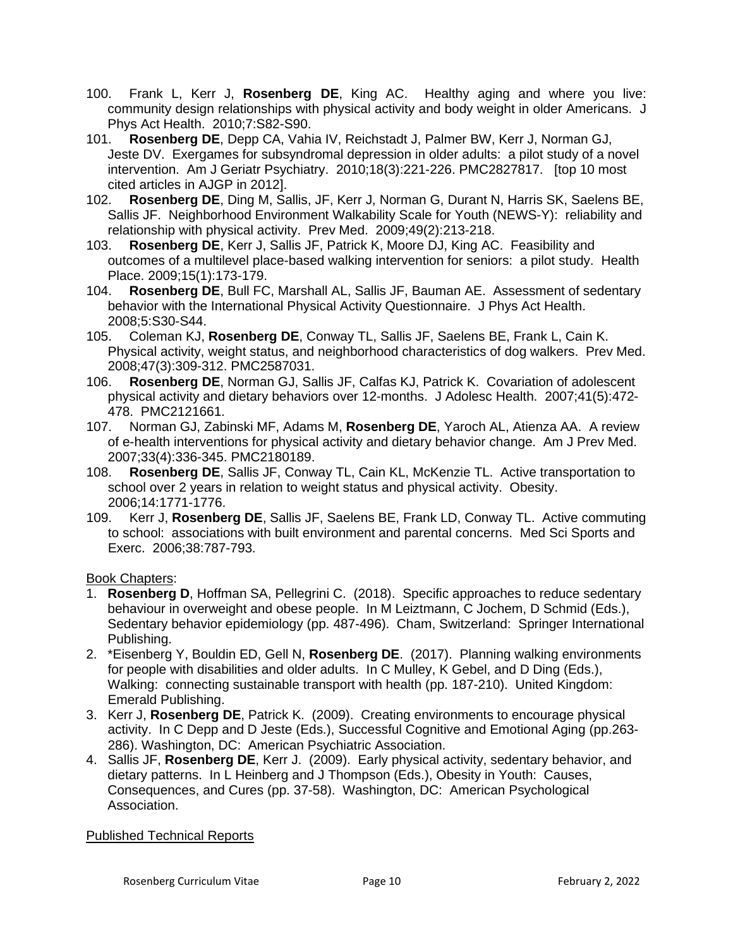- 100. Frank L, Kerr J, **Rosenberg DE**, King AC. Healthy aging and where you live: community design relationships with physical activity and body weight in older Americans. J Phys Act Health. 2010;7:S82-S90.
- 101. **Rosenberg DE**, Depp CA, Vahia IV, Reichstadt J, Palmer BW, Kerr J, Norman GJ, Jeste DV. Exergames for subsyndromal depression in older adults: a pilot study of a novel intervention. Am J Geriatr Psychiatry. 2010;18(3):221-226. PMC2827817. [top 10 most cited articles in AJGP in 2012].
- 102. **Rosenberg DE**, Ding M, Sallis, JF, Kerr J, Norman G, Durant N, Harris SK, Saelens BE, Sallis JF. Neighborhood Environment Walkability Scale for Youth (NEWS-Y): reliability and relationship with physical activity. Prev Med. 2009;49(2):213-218.
- 103. **Rosenberg DE**, Kerr J, Sallis JF, Patrick K, Moore DJ, King AC. Feasibility and outcomes of a multilevel place-based walking intervention for seniors: a pilot study. Health Place. 2009;15(1):173-179.
- 104. **Rosenberg DE**, Bull FC, Marshall AL, Sallis JF, Bauman AE. Assessment of sedentary behavior with the International Physical Activity Questionnaire. J Phys Act Health. 2008;5:S30-S44.
- 105. Coleman KJ, **Rosenberg DE**, Conway TL, Sallis JF, Saelens BE, Frank L, Cain K. Physical activity, weight status, and neighborhood characteristics of dog walkers. Prev Med. 2008;47(3):309-312. PMC2587031.
- 106. **Rosenberg DE**, Norman GJ, Sallis JF, Calfas KJ, Patrick K. Covariation of adolescent physical activity and dietary behaviors over 12-months. J Adolesc Health. 2007;41(5):472- 478. PMC2121661.
- 107. Norman GJ, Zabinski MF, Adams M, **Rosenberg DE**, Yaroch AL, Atienza AA. A review of e-health interventions for physical activity and dietary behavior change. Am J Prev Med. 2007;33(4):336-345. PMC2180189.
- 108. **Rosenberg DE**, Sallis JF, Conway TL, Cain KL, McKenzie TL. Active transportation to school over 2 years in relation to weight status and physical activity. Obesity. 2006;14:1771-1776.
- 109. Kerr J, **Rosenberg DE**, Sallis JF, Saelens BE, Frank LD, Conway TL. Active commuting to school: associations with built environment and parental concerns. Med Sci Sports and Exerc. 2006;38:787-793.

### Book Chapters:

- 1. **Rosenberg D**, Hoffman SA, Pellegrini C. (2018). Specific approaches to reduce sedentary behaviour in overweight and obese people. In M Leiztmann, C Jochem, D Schmid (Eds.), Sedentary behavior epidemiology (pp. 487-496). Cham, Switzerland: Springer International Publishing.
- 2. \*Eisenberg Y, Bouldin ED, Gell N, **Rosenberg DE**. (2017). Planning walking environments for people with disabilities and older adults. In C Mulley, K Gebel, and D Ding (Eds.), Walking: connecting sustainable transport with health (pp. 187-210). United Kingdom: Emerald Publishing.
- 3. Kerr J, **Rosenberg DE**, Patrick K. (2009). Creating environments to encourage physical activity. In C Depp and D Jeste (Eds.), Successful Cognitive and Emotional Aging (pp.263- 286). Washington, DC: American Psychiatric Association.
- 4. Sallis JF, **Rosenberg DE**, Kerr J. (2009). Early physical activity, sedentary behavior, and dietary patterns. In L Heinberg and J Thompson (Eds.), Obesity in Youth: Causes, Consequences, and Cures (pp. 37-58). Washington, DC: American Psychological Association.

### Published Technical Reports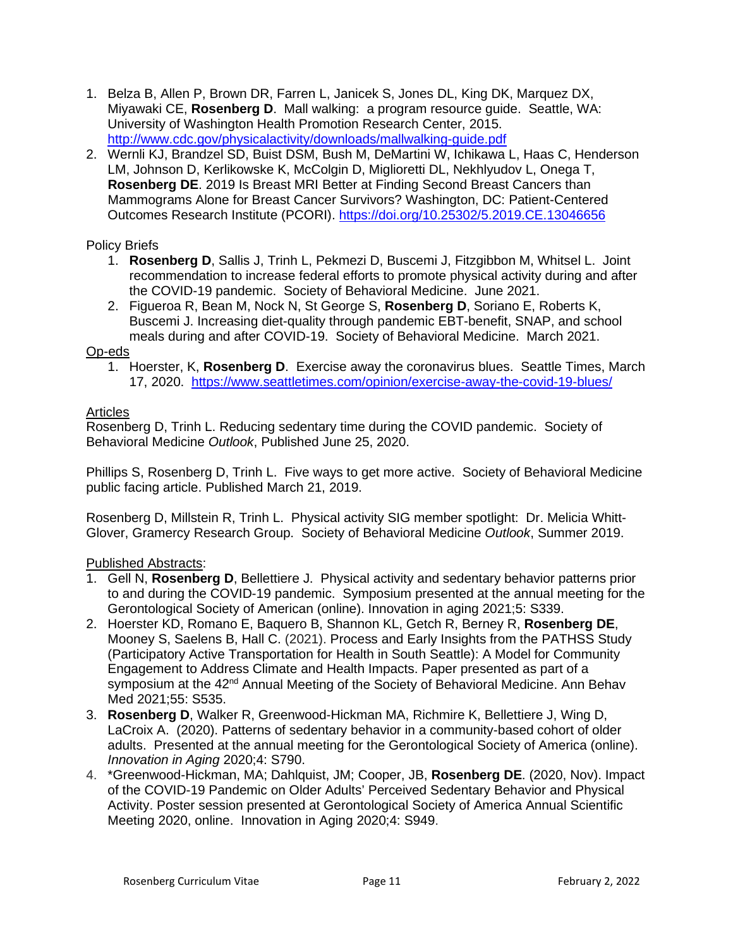- 1. Belza B, Allen P, Brown DR, Farren L, Janicek S, Jones DL, King DK, Marquez DX, Miyawaki CE, **Rosenberg D**. Mall walking: a program resource guide. Seattle, WA: University of Washington Health Promotion Research Center, 2015. <http://www.cdc.gov/physicalactivity/downloads/mallwalking-guide.pdf>
- 2. Wernli KJ, Brandzel SD, Buist DSM, Bush M, DeMartini W, Ichikawa L, Haas C, Henderson LM, Johnson D, Kerlikowske K, McColgin D, Miglioretti DL, Nekhlyudov L, Onega T, **Rosenberg DE**. 2019 Is Breast MRI Better at Finding Second Breast Cancers than Mammograms Alone for Breast Cancer Survivors? Washington, DC: Patient-Centered Outcomes Research Institute (PCORI).<https://doi.org/10.25302/5.2019.CE.13046656>

## Policy Briefs

- 1. **Rosenberg D**, Sallis J, Trinh L, Pekmezi D, Buscemi J, Fitzgibbon M, Whitsel L. Joint recommendation to increase federal efforts to promote physical activity during and after the COVID-19 pandemic. Society of Behavioral Medicine. June 2021.
- 2. Figueroa R, Bean M, Nock N, St George S, **Rosenberg D**, Soriano E, Roberts K, Buscemi J. Increasing diet-quality through pandemic EBT-benefit, SNAP, and school meals during and after COVID-19. Society of Behavioral Medicine. March 2021.

### Op-eds

1. Hoerster, K, **Rosenberg D**. Exercise away the coronavirus blues. Seattle Times, March 17, 2020. <https://www.seattletimes.com/opinion/exercise-away-the-covid-19-blues/>

# Articles

Rosenberg D, Trinh L. Reducing sedentary time during the COVID pandemic. Society of Behavioral Medicine *Outlook*, Published June 25, 2020.

Phillips S, Rosenberg D, Trinh L. Five ways to get more active. Society of Behavioral Medicine public facing article. Published March 21, 2019.

Rosenberg D, Millstein R, Trinh L. Physical activity SIG member spotlight: Dr. Melicia Whitt-Glover, Gramercy Research Group. Society of Behavioral Medicine *Outlook*, Summer 2019.

### Published Abstracts:

- 1. Gell N, **Rosenberg D**, Bellettiere J. Physical activity and sedentary behavior patterns prior to and during the COVID-19 pandemic. Symposium presented at the annual meeting for the Gerontological Society of American (online). Innovation in aging 2021;5: S339.
- 2. Hoerster KD, Romano E, Baquero B, Shannon KL, Getch R, Berney R, **Rosenberg DE**, Mooney S, Saelens B, Hall C. (2021). Process and Early Insights from the PATHSS Study (Participatory Active Transportation for Health in South Seattle): A Model for Community Engagement to Address Climate and Health Impacts. Paper presented as part of a symposium at the 42<sup>nd</sup> Annual Meeting of the Society of Behavioral Medicine. Ann Behav Med 2021;55: S535.
- 3. **Rosenberg D**, Walker R, Greenwood-Hickman MA, Richmire K, Bellettiere J, Wing D, LaCroix A. (2020). Patterns of sedentary behavior in a community-based cohort of older adults. Presented at the annual meeting for the Gerontological Society of America (online). *Innovation in Aging* 2020;4: S790.
- 4. \*Greenwood-Hickman, MA; Dahlquist, JM; Cooper, JB, **Rosenberg DE**. (2020, Nov). Impact of the COVID-19 Pandemic on Older Adults' Perceived Sedentary Behavior and Physical Activity. Poster session presented at Gerontological Society of America Annual Scientific Meeting 2020, online. Innovation in Aging 2020;4: S949.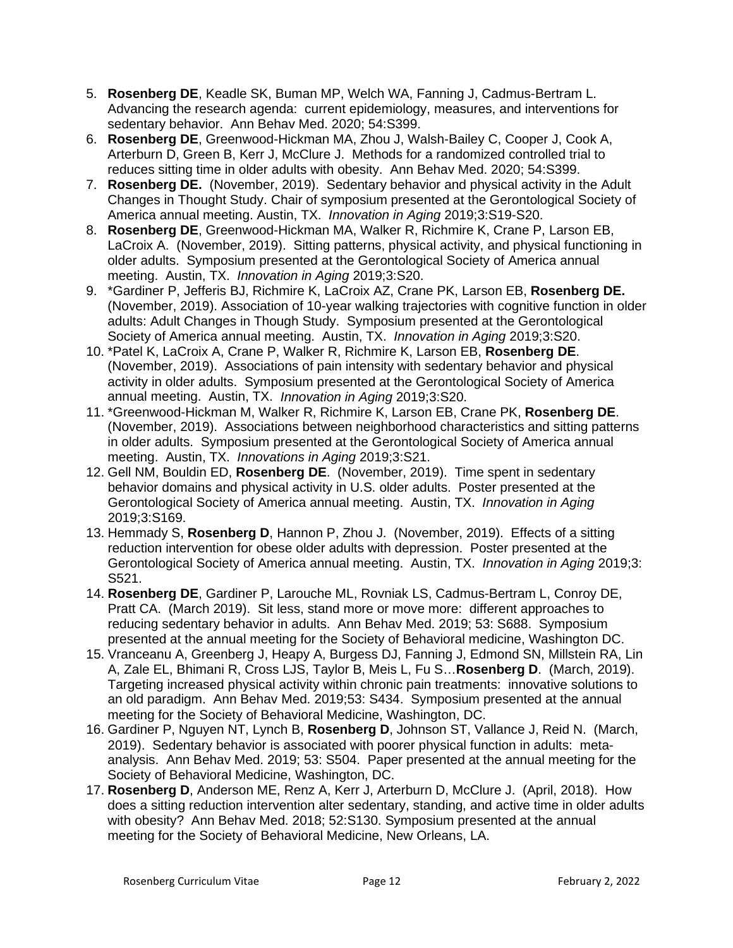- 5. **Rosenberg DE**, Keadle SK, Buman MP, Welch WA, Fanning J, Cadmus-Bertram L. Advancing the research agenda: current epidemiology, measures, and interventions for sedentary behavior. Ann Behav Med. 2020; 54:S399.
- 6. **Rosenberg DE**, Greenwood-Hickman MA, Zhou J, Walsh-Bailey C, Cooper J, Cook A, Arterburn D, Green B, Kerr J, McClure J. Methods for a randomized controlled trial to reduces sitting time in older adults with obesity. Ann Behav Med. 2020; 54:S399.
- 7. **Rosenberg DE.** (November, 2019). Sedentary behavior and physical activity in the Adult Changes in Thought Study. Chair of symposium presented at the Gerontological Society of America annual meeting. Austin, TX. *Innovation in Aging* 2019;3:S19-S20.
- 8. **Rosenberg DE**, Greenwood-Hickman MA, Walker R, Richmire K, Crane P, Larson EB, LaCroix A. (November, 2019).Sitting patterns, physical activity, and physical functioning in older adults. Symposium presented at the Gerontological Society of America annual meeting. Austin, TX. *Innovation in Aging* 2019;3:S20.
- 9. \*Gardiner P, Jefferis BJ, Richmire K, LaCroix AZ, Crane PK, Larson EB, **Rosenberg DE.**  (November, 2019). Association of 10-year walking trajectories with cognitive function in older adults: Adult Changes in Though Study. Symposium presented at the Gerontological Society of America annual meeting. Austin, TX. *Innovation in Aging* 2019;3:S20.
- 10. \*Patel K, LaCroix A, Crane P, Walker R, Richmire K, Larson EB, **Rosenberg DE**. (November, 2019). Associations of pain intensity with sedentary behavior and physical activity in older adults. Symposium presented at the Gerontological Society of America annual meeting. Austin, TX. *Innovation in Aging* 2019;3:S20.
- 11. \*Greenwood-Hickman M, Walker R, Richmire K, Larson EB, Crane PK, **Rosenberg DE**. (November, 2019). Associations between neighborhood characteristics and sitting patterns in older adults. Symposium presented at the Gerontological Society of America annual meeting. Austin, TX. *Innovations in Aging* 2019;3:S21.
- 12. Gell NM, Bouldin ED, **Rosenberg DE**. (November, 2019). Time spent in sedentary behavior domains and physical activity in U.S. older adults. Poster presented at the Gerontological Society of America annual meeting. Austin, TX. *Innovation in Aging* 2019;3:S169.
- 13. Hemmady S, **Rosenberg D**, Hannon P, Zhou J. (November, 2019). Effects of a sitting reduction intervention for obese older adults with depression. Poster presented at the Gerontological Society of America annual meeting. Austin, TX. *Innovation in Aging* 2019;3: S521.
- 14. **Rosenberg DE**, Gardiner P, Larouche ML, Rovniak LS, Cadmus-Bertram L, Conroy DE, Pratt CA. (March 2019). Sit less, stand more or move more: different approaches to reducing sedentary behavior in adults. Ann Behav Med. 2019; 53: S688. Symposium presented at the annual meeting for the Society of Behavioral medicine, Washington DC.
- 15. Vranceanu A, Greenberg J, Heapy A, Burgess DJ, Fanning J, Edmond SN, Millstein RA, Lin A, Zale EL, Bhimani R, Cross LJS, Taylor B, Meis L, Fu S…**Rosenberg D**. (March, 2019). Targeting increased physical activity within chronic pain treatments: innovative solutions to an old paradigm. Ann Behav Med. 2019;53: S434. Symposium presented at the annual meeting for the Society of Behavioral Medicine, Washington, DC.
- 16. Gardiner P, Nguyen NT, Lynch B, **Rosenberg D**, Johnson ST, Vallance J, Reid N. (March, 2019). Sedentary behavior is associated with poorer physical function in adults: metaanalysis. Ann Behav Med. 2019; 53: S504. Paper presented at the annual meeting for the Society of Behavioral Medicine, Washington, DC.
- 17. **Rosenberg D**, Anderson ME, Renz A, Kerr J, Arterburn D, McClure J. (April, 2018). How does a sitting reduction intervention alter sedentary, standing, and active time in older adults with obesity? Ann Behav Med. 2018; 52:S130. Symposium presented at the annual meeting for the Society of Behavioral Medicine, New Orleans, LA.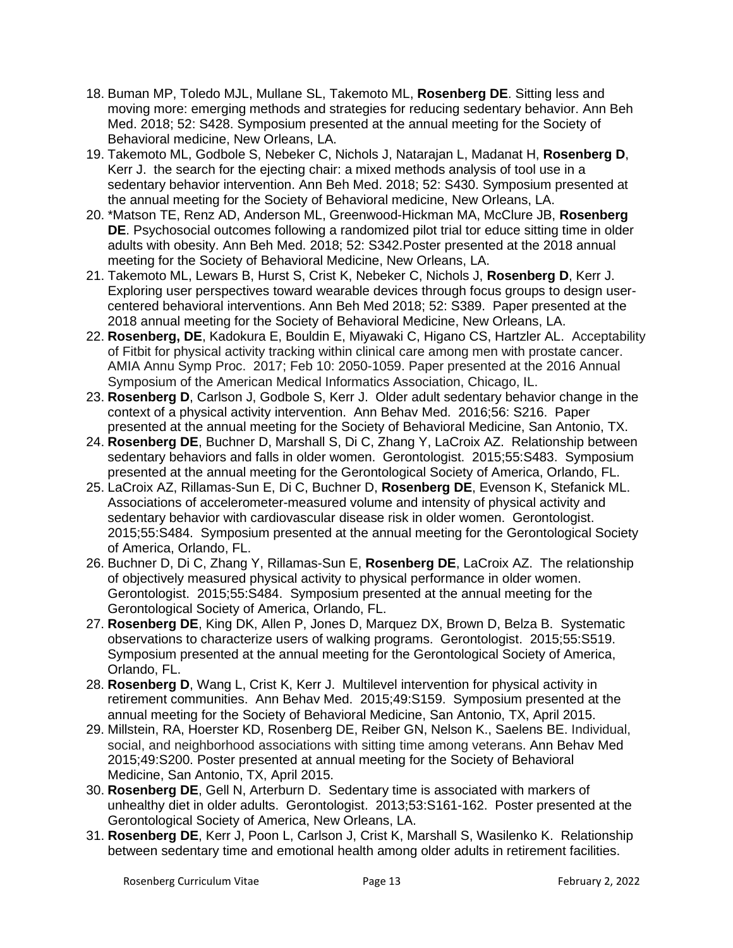- 18. Buman MP, Toledo MJL, Mullane SL, Takemoto ML, **Rosenberg DE**. Sitting less and moving more: emerging methods and strategies for reducing sedentary behavior. Ann Beh Med. 2018; 52: S428. Symposium presented at the annual meeting for the Society of Behavioral medicine, New Orleans, LA.
- 19. Takemoto ML, Godbole S, Nebeker C, Nichols J, Natarajan L, Madanat H, **Rosenberg D**, Kerr J. the search for the ejecting chair: a mixed methods analysis of tool use in a sedentary behavior intervention. Ann Beh Med. 2018; 52: S430. Symposium presented at the annual meeting for the Society of Behavioral medicine, New Orleans, LA.
- 20. \*Matson TE, Renz AD, Anderson ML, Greenwood-Hickman MA, McClure JB, **Rosenberg DE**. Psychosocial outcomes following a randomized pilot trial tor educe sitting time in older adults with obesity. Ann Beh Med. 2018; 52: S342.Poster presented at the 2018 annual meeting for the Society of Behavioral Medicine, New Orleans, LA.
- 21. Takemoto ML, Lewars B, Hurst S, Crist K, Nebeker C, Nichols J, **Rosenberg D**, Kerr J. Exploring user perspectives toward wearable devices through focus groups to design usercentered behavioral interventions. Ann Beh Med 2018; 52: S389. Paper presented at the 2018 annual meeting for the Society of Behavioral Medicine, New Orleans, LA.
- 22. **Rosenberg, DE**, Kadokura E, Bouldin E, Miyawaki C, Higano CS, Hartzler AL. Acceptability of Fitbit for physical activity tracking within clinical care among men with prostate cancer. AMIA Annu Symp Proc. 2017; Feb 10: 2050-1059. Paper presented at the 2016 Annual Symposium of the American Medical Informatics Association, Chicago, IL.
- 23. **Rosenberg D**, Carlson J, Godbole S, Kerr J. Older adult sedentary behavior change in the context of a physical activity intervention. Ann Behav Med. 2016;56: S216. Paper presented at the annual meeting for the Society of Behavioral Medicine, San Antonio, TX.
- 24. **Rosenberg DE**, Buchner D, Marshall S, Di C, Zhang Y, LaCroix AZ. Relationship between sedentary behaviors and falls in older women. Gerontologist. 2015;55:S483. Symposium presented at the annual meeting for the Gerontological Society of America, Orlando, FL.
- 25. LaCroix AZ, Rillamas-Sun E, Di C, Buchner D, **Rosenberg DE**, Evenson K, Stefanick ML. Associations of accelerometer-measured volume and intensity of physical activity and sedentary behavior with cardiovascular disease risk in older women. Gerontologist. 2015;55:S484. Symposium presented at the annual meeting for the Gerontological Society of America, Orlando, FL.
- 26. Buchner D, Di C, Zhang Y, Rillamas-Sun E, **Rosenberg DE**, LaCroix AZ. The relationship of objectively measured physical activity to physical performance in older women. Gerontologist. 2015;55:S484. Symposium presented at the annual meeting for the Gerontological Society of America, Orlando, FL.
- 27. **Rosenberg DE**, King DK, Allen P, Jones D, Marquez DX, Brown D, Belza B. Systematic observations to characterize users of walking programs. Gerontologist. 2015;55:S519. Symposium presented at the annual meeting for the Gerontological Society of America, Orlando, FL.
- 28. **Rosenberg D**, Wang L, Crist K, Kerr J. Multilevel intervention for physical activity in retirement communities.Ann Behav Med. 2015;49:S159. Symposium presented at the annual meeting for the Society of Behavioral Medicine, San Antonio, TX, April 2015.
- 29. Millstein, RA, Hoerster KD, Rosenberg DE, Reiber GN, Nelson K., Saelens BE. Individual, social, and neighborhood associations with sitting time among veterans. Ann Behav Med 2015;49:S200. Poster presented at annual meeting for the Society of Behavioral Medicine, San Antonio, TX, April 2015.
- 30. **Rosenberg DE**, Gell N, Arterburn D. Sedentary time is associated with markers of unhealthy diet in older adults. Gerontologist. 2013;53:S161-162. Poster presented at the Gerontological Society of America, New Orleans, LA.
- 31. **Rosenberg DE**, Kerr J, Poon L, Carlson J, Crist K, Marshall S, Wasilenko K. Relationship between sedentary time and emotional health among older adults in retirement facilities.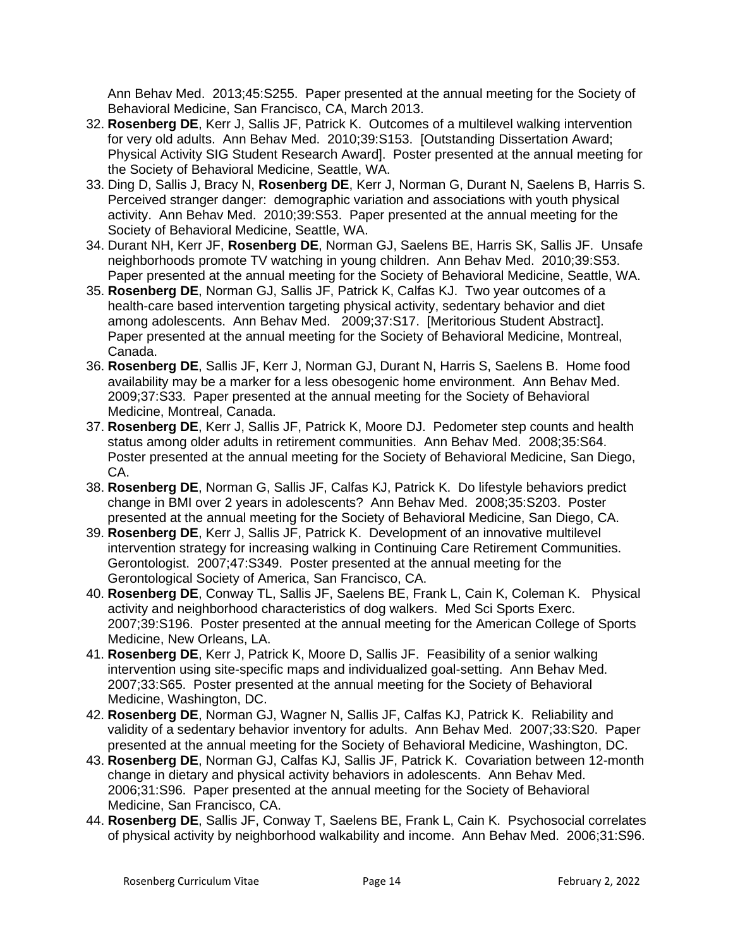Ann Behav Med. 2013;45:S255. Paper presented at the annual meeting for the Society of Behavioral Medicine, San Francisco, CA, March 2013.

- 32. **Rosenberg DE**, Kerr J, Sallis JF, Patrick K. Outcomes of a multilevel walking intervention for very old adults. Ann Behav Med. 2010;39:S153. [Outstanding Dissertation Award; Physical Activity SIG Student Research Award]. Poster presented at the annual meeting for the Society of Behavioral Medicine, Seattle, WA.
- 33. Ding D, Sallis J, Bracy N, **Rosenberg DE**, Kerr J, Norman G, Durant N, Saelens B, Harris S. Perceived stranger danger: demographic variation and associations with youth physical activity. Ann Behav Med. 2010;39:S53. Paper presented at the annual meeting for the Society of Behavioral Medicine, Seattle, WA.
- 34. Durant NH, Kerr JF, **Rosenberg DE**, Norman GJ, Saelens BE, Harris SK, Sallis JF. Unsafe neighborhoods promote TV watching in young children. Ann Behav Med. 2010;39:S53. Paper presented at the annual meeting for the Society of Behavioral Medicine, Seattle, WA.
- 35. **Rosenberg DE**, Norman GJ, Sallis JF, Patrick K, Calfas KJ. Two year outcomes of a health-care based intervention targeting physical activity, sedentary behavior and diet among adolescents. Ann Behav Med. 2009;37:S17. [Meritorious Student Abstract]. Paper presented at the annual meeting for the Society of Behavioral Medicine, Montreal, Canada.
- 36. **Rosenberg DE**, Sallis JF, Kerr J, Norman GJ, Durant N, Harris S, Saelens B. Home food availability may be a marker for a less obesogenic home environment. Ann Behav Med. 2009;37:S33. Paper presented at the annual meeting for the Society of Behavioral Medicine, Montreal, Canada.
- 37. **Rosenberg DE**, Kerr J, Sallis JF, Patrick K, Moore DJ. Pedometer step counts and health status among older adults in retirement communities. Ann Behav Med. 2008;35:S64. Poster presented at the annual meeting for the Society of Behavioral Medicine, San Diego, CA.
- 38. **Rosenberg DE**, Norman G, Sallis JF, Calfas KJ, Patrick K. Do lifestyle behaviors predict change in BMI over 2 years in adolescents? Ann Behav Med. 2008;35:S203. Poster presented at the annual meeting for the Society of Behavioral Medicine, San Diego, CA.
- 39. **Rosenberg DE**, Kerr J, Sallis JF, Patrick K. Development of an innovative multilevel intervention strategy for increasing walking in Continuing Care Retirement Communities. Gerontologist. 2007;47:S349. Poster presented at the annual meeting for the Gerontological Society of America, San Francisco, CA.
- 40. **Rosenberg DE**, Conway TL, Sallis JF, Saelens BE, Frank L, Cain K, Coleman K. Physical activity and neighborhood characteristics of dog walkers. Med Sci Sports Exerc. 2007;39:S196. Poster presented at the annual meeting for the American College of Sports Medicine, New Orleans, LA.
- 41. **Rosenberg DE**, Kerr J, Patrick K, Moore D, Sallis JF. Feasibility of a senior walking intervention using site-specific maps and individualized goal-setting. Ann Behav Med. 2007;33:S65. Poster presented at the annual meeting for the Society of Behavioral Medicine, Washington, DC.
- 42. **Rosenberg DE**, Norman GJ, Wagner N, Sallis JF, Calfas KJ, Patrick K. Reliability and validity of a sedentary behavior inventory for adults. Ann Behav Med. 2007;33:S20. Paper presented at the annual meeting for the Society of Behavioral Medicine, Washington, DC.
- 43. **Rosenberg DE**, Norman GJ, Calfas KJ, Sallis JF, Patrick K. Covariation between 12-month change in dietary and physical activity behaviors in adolescents. Ann Behav Med. 2006;31:S96. Paper presented at the annual meeting for the Society of Behavioral Medicine, San Francisco, CA.
- 44. **Rosenberg DE**, Sallis JF, Conway T, Saelens BE, Frank L, Cain K. Psychosocial correlates of physical activity by neighborhood walkability and income. Ann Behav Med. 2006;31:S96.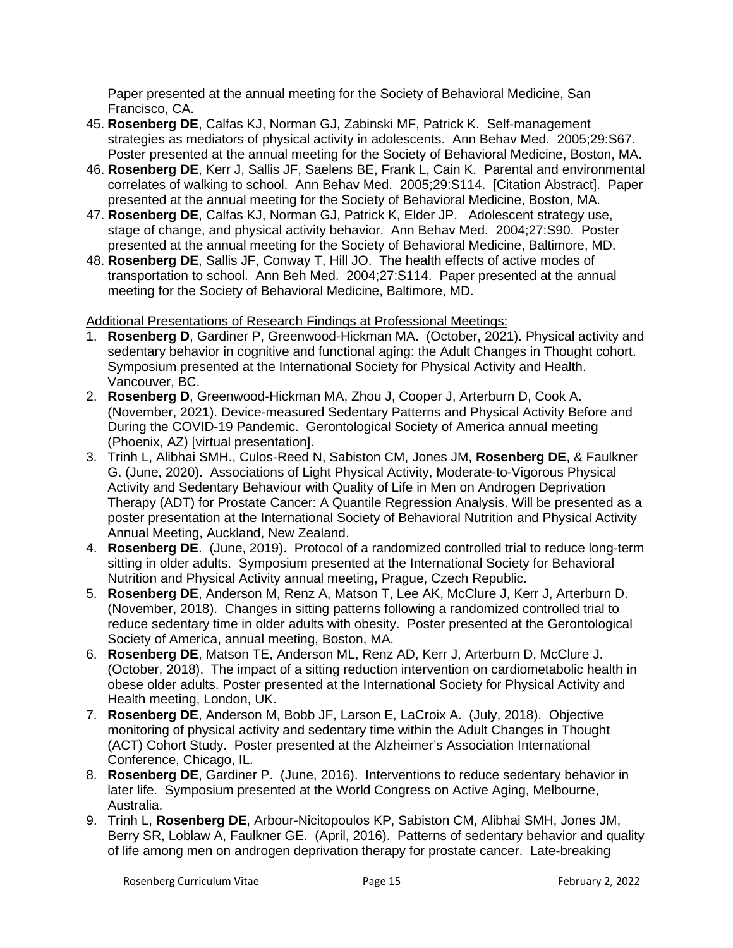Paper presented at the annual meeting for the Society of Behavioral Medicine, San Francisco, CA.

- 45. **Rosenberg DE**, Calfas KJ, Norman GJ, Zabinski MF, Patrick K. Self-management strategies as mediators of physical activity in adolescents. Ann Behav Med. 2005;29:S67. Poster presented at the annual meeting for the Society of Behavioral Medicine, Boston, MA.
- 46. **Rosenberg DE**, Kerr J, Sallis JF, Saelens BE, Frank L, Cain K. Parental and environmental correlates of walking to school. Ann Behav Med. 2005;29:S114. [Citation Abstract]. Paper presented at the annual meeting for the Society of Behavioral Medicine, Boston, MA.
- 47. **Rosenberg DE**, Calfas KJ, Norman GJ, Patrick K, Elder JP. Adolescent strategy use, stage of change, and physical activity behavior. Ann Behav Med. 2004;27:S90. Poster presented at the annual meeting for the Society of Behavioral Medicine, Baltimore, MD.
- 48. **Rosenberg DE**, Sallis JF, Conway T, Hill JO. The health effects of active modes of transportation to school. Ann Beh Med. 2004;27:S114. Paper presented at the annual meeting for the Society of Behavioral Medicine, Baltimore, MD.

# Additional Presentations of Research Findings at Professional Meetings:

- 1. **Rosenberg D**, Gardiner P, Greenwood-Hickman MA. (October, 2021). Physical activity and sedentary behavior in cognitive and functional aging: the Adult Changes in Thought cohort. Symposium presented at the International Society for Physical Activity and Health. Vancouver, BC.
- 2. **Rosenberg D**, Greenwood-Hickman MA, Zhou J, Cooper J, Arterburn D, Cook A. (November, 2021). Device-measured Sedentary Patterns and Physical Activity Before and During the COVID-19 Pandemic. Gerontological Society of America annual meeting (Phoenix, AZ) [virtual presentation].
- 3. Trinh L, Alibhai SMH., Culos-Reed N, Sabiston CM, Jones JM, **Rosenberg DE**, & Faulkner G. (June, 2020). Associations of Light Physical Activity, Moderate-to-Vigorous Physical Activity and Sedentary Behaviour with Quality of Life in Men on Androgen Deprivation Therapy (ADT) for Prostate Cancer: A Quantile Regression Analysis. Will be presented as a poster presentation at the International Society of Behavioral Nutrition and Physical Activity Annual Meeting, Auckland, New Zealand.
- 4. **Rosenberg DE**. (June, 2019). Protocol of a randomized controlled trial to reduce long-term sitting in older adults. Symposium presented at the International Society for Behavioral Nutrition and Physical Activity annual meeting, Prague, Czech Republic.
- 5. **Rosenberg DE**, Anderson M, Renz A, Matson T, Lee AK, McClure J, Kerr J, Arterburn D. (November, 2018). Changes in sitting patterns following a randomized controlled trial to reduce sedentary time in older adults with obesity. Poster presented at the Gerontological Society of America, annual meeting, Boston, MA.
- 6. **Rosenberg DE**, Matson TE, Anderson ML, Renz AD, Kerr J, Arterburn D, McClure J. (October, 2018). The impact of a sitting reduction intervention on cardiometabolic health in obese older adults. Poster presented at the International Society for Physical Activity and Health meeting, London, UK.
- 7. **Rosenberg DE**, Anderson M, Bobb JF, Larson E, LaCroix A. (July, 2018). Objective monitoring of physical activity and sedentary time within the Adult Changes in Thought (ACT) Cohort Study. Poster presented at the Alzheimer's Association International Conference, Chicago, IL.
- 8. **Rosenberg DE**, Gardiner P. (June, 2016). Interventions to reduce sedentary behavior in later life. Symposium presented at the World Congress on Active Aging, Melbourne, Australia.
- 9. Trinh L, **Rosenberg DE**, Arbour-Nicitopoulos KP, Sabiston CM, Alibhai SMH, Jones JM, Berry SR, Loblaw A, Faulkner GE. (April, 2016). Patterns of sedentary behavior and quality of life among men on androgen deprivation therapy for prostate cancer. Late-breaking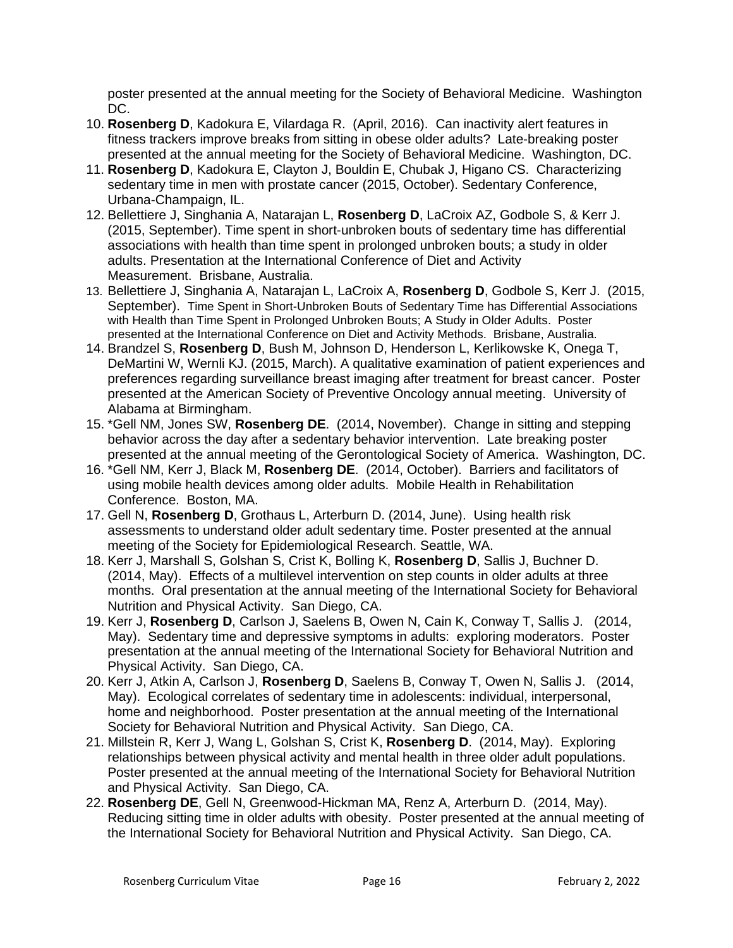poster presented at the annual meeting for the Society of Behavioral Medicine. Washington DC.

- 10. **Rosenberg D**, Kadokura E, Vilardaga R. (April, 2016). Can inactivity alert features in fitness trackers improve breaks from sitting in obese older adults? Late-breaking poster presented at the annual meeting for the Society of Behavioral Medicine. Washington, DC.
- 11. **Rosenberg D**, Kadokura E, Clayton J, Bouldin E, Chubak J, Higano CS. Characterizing sedentary time in men with prostate cancer (2015, October). Sedentary Conference, Urbana-Champaign, IL.
- 12. Bellettiere J, Singhania A, Natarajan L, **Rosenberg D**, LaCroix AZ, Godbole S, & Kerr J. (2015, September). Time spent in short-unbroken bouts of sedentary time has differential associations with health than time spent in prolonged unbroken bouts; a study in older adults. Presentation at the International Conference of Diet and Activity Measurement. Brisbane, Australia.
- 13. Bellettiere J, Singhania A, Natarajan L, LaCroix A, **Rosenberg D**, Godbole S, Kerr J. (2015, September). Time Spent in Short-Unbroken Bouts of Sedentary Time has Differential Associations with Health than Time Spent in Prolonged Unbroken Bouts; A Study in Older Adults. Poster presented at the International Conference on Diet and Activity Methods. Brisbane, Australia.
- 14. Brandzel S, **Rosenberg D**, Bush M, Johnson D, Henderson L, Kerlikowske K, Onega T, DeMartini W, Wernli KJ. (2015, March). A qualitative examination of patient experiences and preferences regarding surveillance breast imaging after treatment for breast cancer. Poster presented at the American Society of Preventive Oncology annual meeting. University of Alabama at Birmingham.
- 15. \*Gell NM, Jones SW, **Rosenberg DE**. (2014, November). Change in sitting and stepping behavior across the day after a sedentary behavior intervention. Late breaking poster presented at the annual meeting of the Gerontological Society of America. Washington, DC.
- 16. \*Gell NM, Kerr J, Black M, **Rosenberg DE**. (2014, October). Barriers and facilitators of using mobile health devices among older adults. Mobile Health in Rehabilitation Conference. Boston, MA.
- 17. Gell N, **Rosenberg D**, Grothaus L, Arterburn D. (2014, June). Using health risk assessments to understand older adult sedentary time. Poster presented at the annual meeting of the Society for Epidemiological Research. Seattle, WA.
- 18. Kerr J, Marshall S, Golshan S, Crist K, Bolling K, **Rosenberg D**, Sallis J, Buchner D. (2014, May). Effects of a multilevel intervention on step counts in older adults at three months. Oral presentation at the annual meeting of the International Society for Behavioral Nutrition and Physical Activity. San Diego, CA.
- 19. Kerr J, **Rosenberg D**, Carlson J, Saelens B, Owen N, Cain K, Conway T, Sallis J. (2014, May). Sedentary time and depressive symptoms in adults: exploring moderators. Poster presentation at the annual meeting of the International Society for Behavioral Nutrition and Physical Activity. San Diego, CA.
- 20. Kerr J, Atkin A, Carlson J, **Rosenberg D**, Saelens B, Conway T, Owen N, Sallis J. (2014, May). Ecological correlates of sedentary time in adolescents: individual, interpersonal, home and neighborhood. Poster presentation at the annual meeting of the International Society for Behavioral Nutrition and Physical Activity. San Diego, CA.
- 21. Millstein R, Kerr J, Wang L, Golshan S, Crist K, **Rosenberg D**. (2014, May). Exploring relationships between physical activity and mental health in three older adult populations. Poster presented at the annual meeting of the International Society for Behavioral Nutrition and Physical Activity. San Diego, CA.
- 22. **Rosenberg DE**, Gell N, Greenwood-Hickman MA, Renz A, Arterburn D. (2014, May). Reducing sitting time in older adults with obesity. Poster presented at the annual meeting of the International Society for Behavioral Nutrition and Physical Activity. San Diego, CA.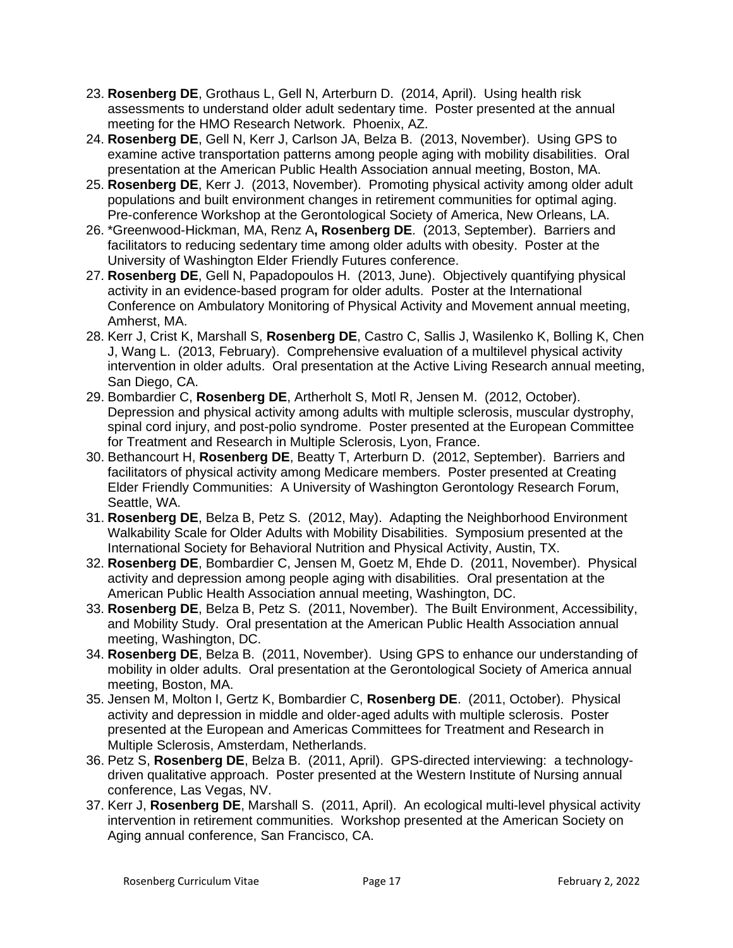- 23. **Rosenberg DE**, Grothaus L, Gell N, Arterburn D. (2014, April). Using health risk assessments to understand older adult sedentary time. Poster presented at the annual meeting for the HMO Research Network. Phoenix, AZ.
- 24. **Rosenberg DE**, Gell N, Kerr J, Carlson JA, Belza B. (2013, November). Using GPS to examine active transportation patterns among people aging with mobility disabilities. Oral presentation at the American Public Health Association annual meeting, Boston, MA.
- 25. **Rosenberg DE**, Kerr J. (2013, November). Promoting physical activity among older adult populations and built environment changes in retirement communities for optimal aging. Pre-conference Workshop at the Gerontological Society of America, New Orleans, LA.
- 26. \*Greenwood-Hickman, MA, Renz A**, Rosenberg DE**. (2013, September). Barriers and facilitators to reducing sedentary time among older adults with obesity. Poster at the University of Washington Elder Friendly Futures conference.
- 27. **Rosenberg DE**, Gell N, Papadopoulos H. (2013, June). Objectively quantifying physical activity in an evidence-based program for older adults. Poster at the International Conference on Ambulatory Monitoring of Physical Activity and Movement annual meeting, Amherst, MA.
- 28. Kerr J, Crist K, Marshall S, **Rosenberg DE**, Castro C, Sallis J, Wasilenko K, Bolling K, Chen J, Wang L. (2013, February). Comprehensive evaluation of a multilevel physical activity intervention in older adults. Oral presentation at the Active Living Research annual meeting, San Diego, CA.
- 29. Bombardier C, **Rosenberg DE**, Artherholt S, Motl R, Jensen M. (2012, October). Depression and physical activity among adults with multiple sclerosis, muscular dystrophy, spinal cord injury, and post-polio syndrome. Poster presented at the European Committee for Treatment and Research in Multiple Sclerosis, Lyon, France.
- 30. Bethancourt H, **Rosenberg DE**, Beatty T, Arterburn D. (2012, September). Barriers and facilitators of physical activity among Medicare members. Poster presented at Creating Elder Friendly Communities: A University of Washington Gerontology Research Forum, Seattle, WA.
- 31. **Rosenberg DE**, Belza B, Petz S. (2012, May). Adapting the Neighborhood Environment Walkability Scale for Older Adults with Mobility Disabilities. Symposium presented at the International Society for Behavioral Nutrition and Physical Activity, Austin, TX.
- 32. **Rosenberg DE**, Bombardier C, Jensen M, Goetz M, Ehde D. (2011, November). Physical activity and depression among people aging with disabilities. Oral presentation at the American Public Health Association annual meeting, Washington, DC.
- 33. **Rosenberg DE**, Belza B, Petz S. (2011, November). The Built Environment, Accessibility, and Mobility Study. Oral presentation at the American Public Health Association annual meeting, Washington, DC.
- 34. **Rosenberg DE**, Belza B. (2011, November). Using GPS to enhance our understanding of mobility in older adults. Oral presentation at the Gerontological Society of America annual meeting, Boston, MA.
- 35. Jensen M, Molton I, Gertz K, Bombardier C, **Rosenberg DE**. (2011, October). Physical activity and depression in middle and older-aged adults with multiple sclerosis. Poster presented at the European and Americas Committees for Treatment and Research in Multiple Sclerosis, Amsterdam, Netherlands.
- 36. Petz S, **Rosenberg DE**, Belza B. (2011, April). GPS-directed interviewing: a technologydriven qualitative approach. Poster presented at the Western Institute of Nursing annual conference, Las Vegas, NV.
- 37. Kerr J, **Rosenberg DE**, Marshall S. (2011, April). An ecological multi-level physical activity intervention in retirement communities. Workshop presented at the American Society on Aging annual conference, San Francisco, CA.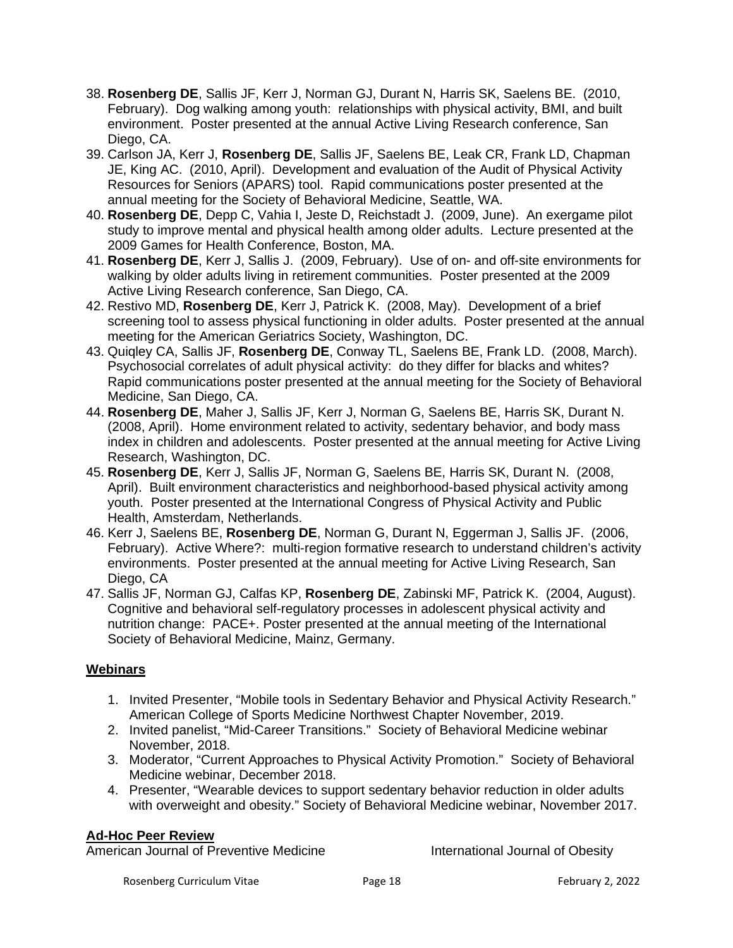- 38. **Rosenberg DE**, Sallis JF, Kerr J, Norman GJ, Durant N, Harris SK, Saelens BE. (2010, February). Dog walking among youth: relationships with physical activity, BMI, and built environment. Poster presented at the annual Active Living Research conference, San Diego, CA.
- 39. Carlson JA, Kerr J, **Rosenberg DE**, Sallis JF, Saelens BE, Leak CR, Frank LD, Chapman JE, King AC. (2010, April). Development and evaluation of the Audit of Physical Activity Resources for Seniors (APARS) tool. Rapid communications poster presented at the annual meeting for the Society of Behavioral Medicine, Seattle, WA.
- 40. **Rosenberg DE**, Depp C, Vahia I, Jeste D, Reichstadt J. (2009, June). An exergame pilot study to improve mental and physical health among older adults. Lecture presented at the 2009 Games for Health Conference, Boston, MA.
- 41. **Rosenberg DE**, Kerr J, Sallis J. (2009, February). Use of on- and off-site environments for walking by older adults living in retirement communities. Poster presented at the 2009 Active Living Research conference, San Diego, CA.
- 42. Restivo MD, **Rosenberg DE**, Kerr J, Patrick K. (2008, May). Development of a brief screening tool to assess physical functioning in older adults. Poster presented at the annual meeting for the American Geriatrics Society, Washington, DC.
- 43. Quiqley CA, Sallis JF, **Rosenberg DE**, Conway TL, Saelens BE, Frank LD. (2008, March). Psychosocial correlates of adult physical activity: do they differ for blacks and whites? Rapid communications poster presented at the annual meeting for the Society of Behavioral Medicine, San Diego, CA.
- 44. **Rosenberg DE**, Maher J, Sallis JF, Kerr J, Norman G, Saelens BE, Harris SK, Durant N. (2008, April). Home environment related to activity, sedentary behavior, and body mass index in children and adolescents. Poster presented at the annual meeting for Active Living Research, Washington, DC.
- 45. **Rosenberg DE**, Kerr J, Sallis JF, Norman G, Saelens BE, Harris SK, Durant N. (2008, April). Built environment characteristics and neighborhood-based physical activity among youth. Poster presented at the International Congress of Physical Activity and Public Health, Amsterdam, Netherlands.
- 46. Kerr J, Saelens BE, **Rosenberg DE**, Norman G, Durant N, Eggerman J, Sallis JF. (2006, February). Active Where?: multi-region formative research to understand children's activity environments. Poster presented at the annual meeting for Active Living Research, San Diego, CA
- 47. Sallis JF, Norman GJ, Calfas KP, **Rosenberg DE**, Zabinski MF, Patrick K. (2004, August). Cognitive and behavioral self-regulatory processes in adolescent physical activity and nutrition change: PACE+. Poster presented at the annual meeting of the International Society of Behavioral Medicine, Mainz, Germany.

# **Webinars**

- 1. Invited Presenter, "Mobile tools in Sedentary Behavior and Physical Activity Research." American College of Sports Medicine Northwest Chapter November, 2019.
- 2. Invited panelist, "Mid-Career Transitions." Society of Behavioral Medicine webinar November, 2018.
- 3. Moderator, "Current Approaches to Physical Activity Promotion." Society of Behavioral Medicine webinar, December 2018.
- 4. Presenter, "Wearable devices to support sedentary behavior reduction in older adults with overweight and obesity." Society of Behavioral Medicine webinar, November 2017.

### **Ad-Hoc Peer Review**

American Journal of Preventive Medicine **International Journal of Obesity**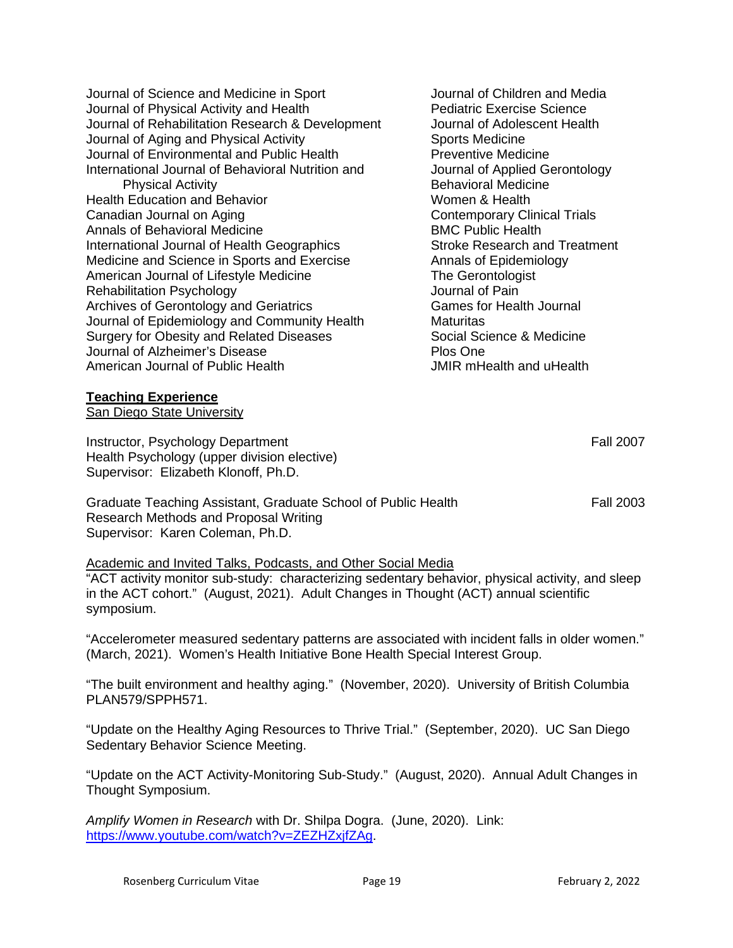Journal of Science and Medicine in Sport Journal of Children and Media Journal of Physical Activity and Health Pediatric Exercise Science Journal of Rehabilitation Research & Development Journal of Adolescent Health<br>Journal of Aging and Physical Activity Sports Medicine Journal of Aging and Physical Activity Journal of Environmental and Public Health Preventive Medicine International Journal of Behavioral Nutrition and Journal of Applied Gerontology Physical Activity **Behavioral Medicine** Health Education and Behavior Women & Health Canadian Journal on Aging Contemporary Clinical Trials Annals of Behavioral Medicine<br>
International Journal of Health Geographics<br>
Stroke Research and Treatment International Journal of Health Geographics Medicine and Science in Sports and Exercise **Annals of Epidemiology** American Journal of Lifestyle Medicine The Gerontologist Rehabilitation Psychology Journal of Pain Archives of Gerontology and Geriatrics Games for Health Journal Journal of Epidemiology and Community Health Maturitas Surgery for Obesity and Related Diseases Social Science & Medicine Journal of Alzheimer's Disease **Plos One** American Journal of Public Health **JMIR** mHealth and uHealth

#### **Teaching Experience**

San Diego State University

Instructor, Psychology Department **Fall 2007** Health Psychology (upper division elective) Supervisor: Elizabeth Klonoff, Ph.D.

Graduate Teaching Assistant, Graduate School of Public Health Fall 2003 Research Methods and Proposal Writing Supervisor: Karen Coleman, Ph.D.

#### Academic and Invited Talks, Podcasts, and Other Social Media

"ACT activity monitor sub-study: characterizing sedentary behavior, physical activity, and sleep in the ACT cohort." (August, 2021). Adult Changes in Thought (ACT) annual scientific symposium.

"Accelerometer measured sedentary patterns are associated with incident falls in older women." (March, 2021). Women's Health Initiative Bone Health Special Interest Group.

"The built environment and healthy aging." (November, 2020). University of British Columbia PLAN579/SPPH571.

"Update on the Healthy Aging Resources to Thrive Trial." (September, 2020). UC San Diego Sedentary Behavior Science Meeting.

"Update on the ACT Activity-Monitoring Sub-Study." (August, 2020). Annual Adult Changes in Thought Symposium.

*Amplify Women in Research* with Dr. Shilpa Dogra. (June, 2020). Link: [https://www.youtube.com/watch?v=ZEZHZxjfZAg.](https://www.youtube.com/watch?v=ZEZHZxjfZAg)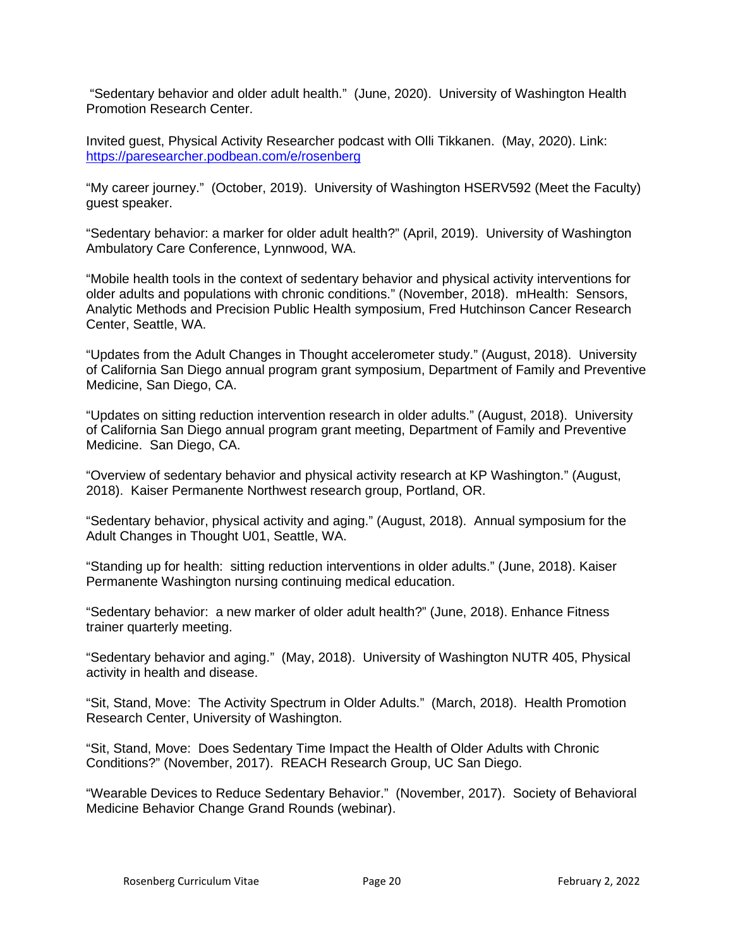"Sedentary behavior and older adult health." (June, 2020). University of Washington Health Promotion Research Center.

Invited guest, Physical Activity Researcher podcast with Olli Tikkanen. (May, 2020). Link: <https://paresearcher.podbean.com/e/rosenberg>

"My career journey." (October, 2019). University of Washington HSERV592 (Meet the Faculty) guest speaker.

"Sedentary behavior: a marker for older adult health?" (April, 2019). University of Washington Ambulatory Care Conference, Lynnwood, WA.

"Mobile health tools in the context of sedentary behavior and physical activity interventions for older adults and populations with chronic conditions." (November, 2018). mHealth: Sensors, Analytic Methods and Precision Public Health symposium, Fred Hutchinson Cancer Research Center, Seattle, WA.

"Updates from the Adult Changes in Thought accelerometer study." (August, 2018). University of California San Diego annual program grant symposium, Department of Family and Preventive Medicine, San Diego, CA.

"Updates on sitting reduction intervention research in older adults." (August, 2018). University of California San Diego annual program grant meeting, Department of Family and Preventive Medicine. San Diego, CA.

"Overview of sedentary behavior and physical activity research at KP Washington." (August, 2018). Kaiser Permanente Northwest research group, Portland, OR.

"Sedentary behavior, physical activity and aging." (August, 2018). Annual symposium for the Adult Changes in Thought U01, Seattle, WA.

"Standing up for health: sitting reduction interventions in older adults." (June, 2018). Kaiser Permanente Washington nursing continuing medical education.

"Sedentary behavior: a new marker of older adult health?" (June, 2018). Enhance Fitness trainer quarterly meeting.

"Sedentary behavior and aging." (May, 2018). University of Washington NUTR 405, Physical activity in health and disease.

"Sit, Stand, Move: The Activity Spectrum in Older Adults." (March, 2018). Health Promotion Research Center, University of Washington.

"Sit, Stand, Move: Does Sedentary Time Impact the Health of Older Adults with Chronic Conditions?" (November, 2017). REACH Research Group, UC San Diego.

"Wearable Devices to Reduce Sedentary Behavior." (November, 2017). Society of Behavioral Medicine Behavior Change Grand Rounds (webinar).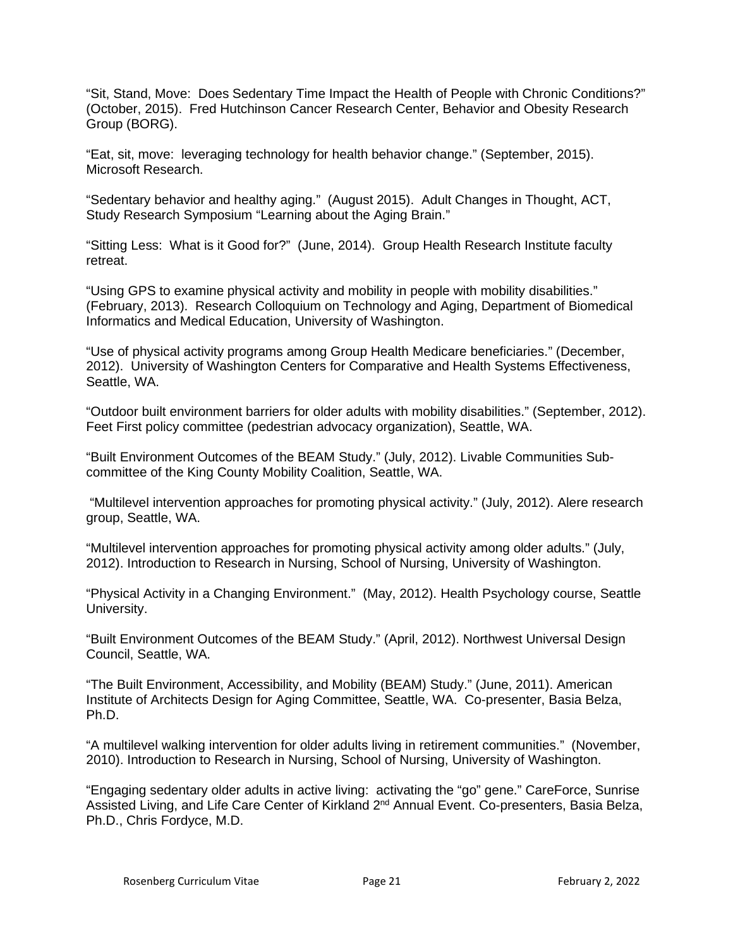"Sit, Stand, Move: Does Sedentary Time Impact the Health of People with Chronic Conditions?" (October, 2015). Fred Hutchinson Cancer Research Center, Behavior and Obesity Research Group (BORG).

"Eat, sit, move: leveraging technology for health behavior change." (September, 2015). Microsoft Research.

"Sedentary behavior and healthy aging." (August 2015). Adult Changes in Thought, ACT, Study Research Symposium "Learning about the Aging Brain."

"Sitting Less: What is it Good for?" (June, 2014). Group Health Research Institute faculty retreat.

"Using GPS to examine physical activity and mobility in people with mobility disabilities." (February, 2013). Research Colloquium on Technology and Aging, Department of Biomedical Informatics and Medical Education, University of Washington.

"Use of physical activity programs among Group Health Medicare beneficiaries." (December, 2012). University of Washington Centers for Comparative and Health Systems Effectiveness, Seattle, WA.

"Outdoor built environment barriers for older adults with mobility disabilities." (September, 2012). Feet First policy committee (pedestrian advocacy organization), Seattle, WA.

"Built Environment Outcomes of the BEAM Study." (July, 2012). Livable Communities Subcommittee of the King County Mobility Coalition, Seattle, WA.

"Multilevel intervention approaches for promoting physical activity." (July, 2012). Alere research group, Seattle, WA.

"Multilevel intervention approaches for promoting physical activity among older adults." (July, 2012). Introduction to Research in Nursing, School of Nursing, University of Washington.

"Physical Activity in a Changing Environment." (May, 2012). Health Psychology course, Seattle University.

"Built Environment Outcomes of the BEAM Study." (April, 2012). Northwest Universal Design Council, Seattle, WA.

"The Built Environment, Accessibility, and Mobility (BEAM) Study." (June, 2011). American Institute of Architects Design for Aging Committee, Seattle, WA. Co-presenter, Basia Belza, Ph.D.

"A multilevel walking intervention for older adults living in retirement communities." (November, 2010). Introduction to Research in Nursing, School of Nursing, University of Washington.

"Engaging sedentary older adults in active living: activating the "go" gene." CareForce, Sunrise Assisted Living, and Life Care Center of Kirkland 2<sup>nd</sup> Annual Event. Co-presenters, Basia Belza, Ph.D., Chris Fordyce, M.D.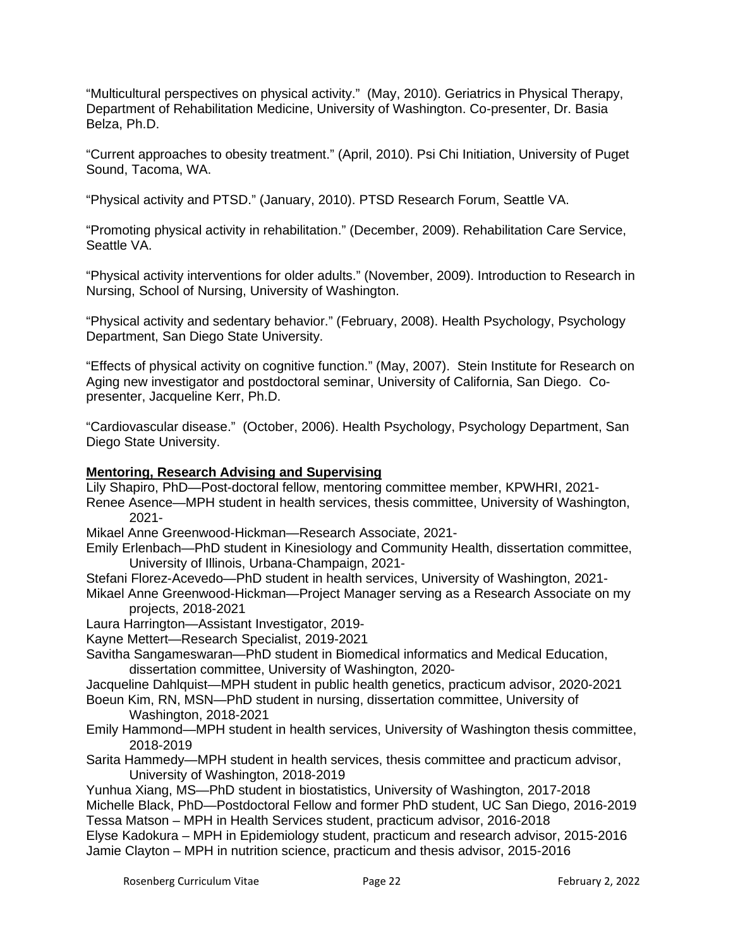"Multicultural perspectives on physical activity." (May, 2010). Geriatrics in Physical Therapy, Department of Rehabilitation Medicine, University of Washington. Co-presenter, Dr. Basia Belza, Ph.D.

"Current approaches to obesity treatment." (April, 2010). Psi Chi Initiation, University of Puget Sound, Tacoma, WA.

"Physical activity and PTSD." (January, 2010). PTSD Research Forum, Seattle VA.

"Promoting physical activity in rehabilitation." (December, 2009). Rehabilitation Care Service, Seattle VA.

"Physical activity interventions for older adults." (November, 2009). Introduction to Research in Nursing, School of Nursing, University of Washington.

"Physical activity and sedentary behavior." (February, 2008). Health Psychology, Psychology Department, San Diego State University.

"Effects of physical activity on cognitive function." (May, 2007). Stein Institute for Research on Aging new investigator and postdoctoral seminar, University of California, San Diego. Copresenter, Jacqueline Kerr, Ph.D.

"Cardiovascular disease." (October, 2006). Health Psychology, Psychology Department, San Diego State University.

### **Mentoring, Research Advising and Supervising**

Lily Shapiro, PhD—Post-doctoral fellow, mentoring committee member, KPWHRI, 2021-

Renee Asence—MPH student in health services, thesis committee, University of Washington, 2021-

Mikael Anne Greenwood-Hickman—Research Associate, 2021-

- Emily Erlenbach—PhD student in Kinesiology and Community Health, dissertation committee, University of Illinois, Urbana-Champaign, 2021-
- Stefani Florez-Acevedo—PhD student in health services, University of Washington, 2021-
- Mikael Anne Greenwood-Hickman—Project Manager serving as a Research Associate on my projects, 2018-2021
- Laura Harrington—Assistant Investigator, 2019-
- Kayne Mettert—Research Specialist, 2019-2021
- Savitha Sangameswaran—PhD student in Biomedical informatics and Medical Education, dissertation committee, University of Washington, 2020-
- Jacqueline Dahlquist—MPH student in public health genetics, practicum advisor, 2020-2021
- Boeun Kim, RN, MSN—PhD student in nursing, dissertation committee, University of Washington, 2018-2021
- Emily Hammond—MPH student in health services, University of Washington thesis committee, 2018-2019
- Sarita Hammedy—MPH student in health services, thesis committee and practicum advisor, University of Washington, 2018-2019

Yunhua Xiang, MS—PhD student in biostatistics, University of Washington, 2017-2018 Michelle Black, PhD—Postdoctoral Fellow and former PhD student, UC San Diego, 2016-2019 Tessa Matson – MPH in Health Services student, practicum advisor, 2016-2018

Elyse Kadokura – MPH in Epidemiology student, practicum and research advisor, 2015-2016 Jamie Clayton – MPH in nutrition science, practicum and thesis advisor, 2015-2016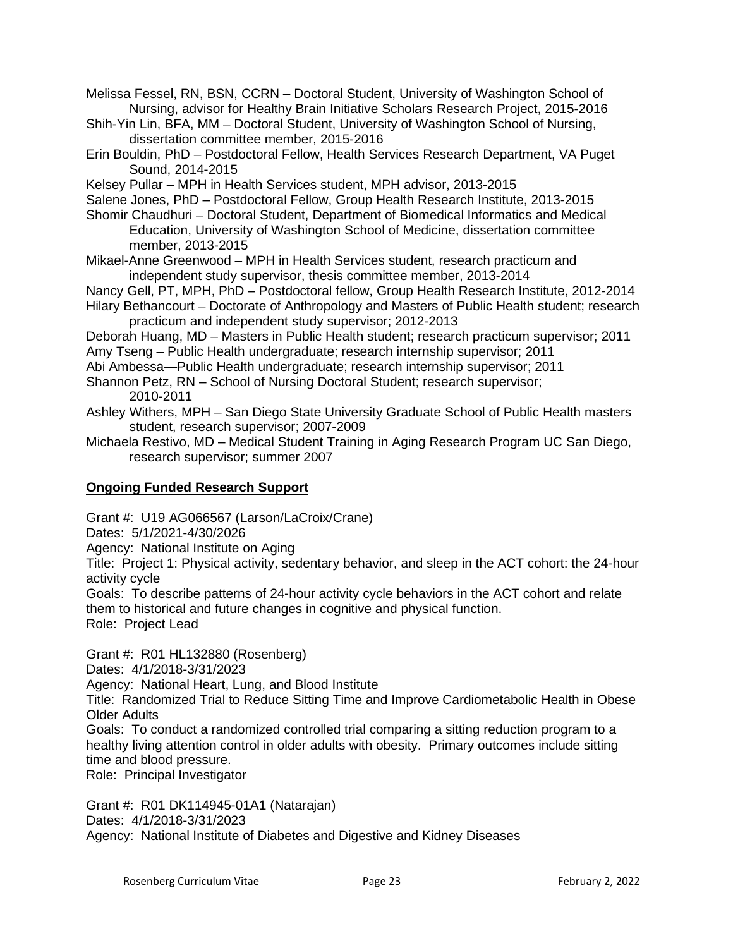Melissa Fessel, RN, BSN, CCRN – Doctoral Student, University of Washington School of Nursing, advisor for Healthy Brain Initiative Scholars Research Project, 2015-2016

- Shih-Yin Lin, BFA, MM Doctoral Student, University of Washington School of Nursing, dissertation committee member, 2015-2016
- Erin Bouldin, PhD Postdoctoral Fellow, Health Services Research Department, VA Puget Sound, 2014-2015
- Kelsey Pullar MPH in Health Services student, MPH advisor, 2013-2015

Salene Jones, PhD – Postdoctoral Fellow, Group Health Research Institute, 2013-2015

- Shomir Chaudhuri Doctoral Student, Department of Biomedical Informatics and Medical Education, University of Washington School of Medicine, dissertation committee member, 2013-2015
- Mikael-Anne Greenwood MPH in Health Services student, research practicum and independent study supervisor, thesis committee member, 2013-2014
- Nancy Gell, PT, MPH, PhD Postdoctoral fellow, Group Health Research Institute, 2012-2014
- Hilary Bethancourt Doctorate of Anthropology and Masters of Public Health student; research practicum and independent study supervisor; 2012-2013
- Deborah Huang, MD Masters in Public Health student; research practicum supervisor; 2011 Amy Tseng – Public Health undergraduate; research internship supervisor; 2011
- Abi Ambessa—Public Health undergraduate; research internship supervisor; 2011
- Shannon Petz, RN School of Nursing Doctoral Student; research supervisor; 2010-2011
- Ashley Withers, MPH San Diego State University Graduate School of Public Health masters student, research supervisor; 2007-2009
- Michaela Restivo, MD Medical Student Training in Aging Research Program UC San Diego, research supervisor; summer 2007

# **Ongoing Funded Research Support**

Grant #: U19 AG066567 (Larson/LaCroix/Crane)

Dates: 5/1/2021-4/30/2026

Agency: National Institute on Aging

Title: Project 1: Physical activity, sedentary behavior, and sleep in the ACT cohort: the 24-hour activity cycle

Goals: To describe patterns of 24-hour activity cycle behaviors in the ACT cohort and relate them to historical and future changes in cognitive and physical function. Role: Project Lead

Grant #:R01 HL132880 (Rosenberg)

Dates: 4/1/2018-3/31/2023

Agency: National Heart, Lung, and Blood Institute

Title: Randomized Trial to Reduce Sitting Time and Improve Cardiometabolic Health in Obese Older Adults

Goals: To conduct a randomized controlled trial comparing a sitting reduction program to a healthy living attention control in older adults with obesity. Primary outcomes include sitting time and blood pressure.

Role: Principal Investigator

Grant #: R01 DK114945-01A1 (Natarajan) Dates: 4/1/2018-3/31/2023 Agency: National Institute of Diabetes and Digestive and Kidney Diseases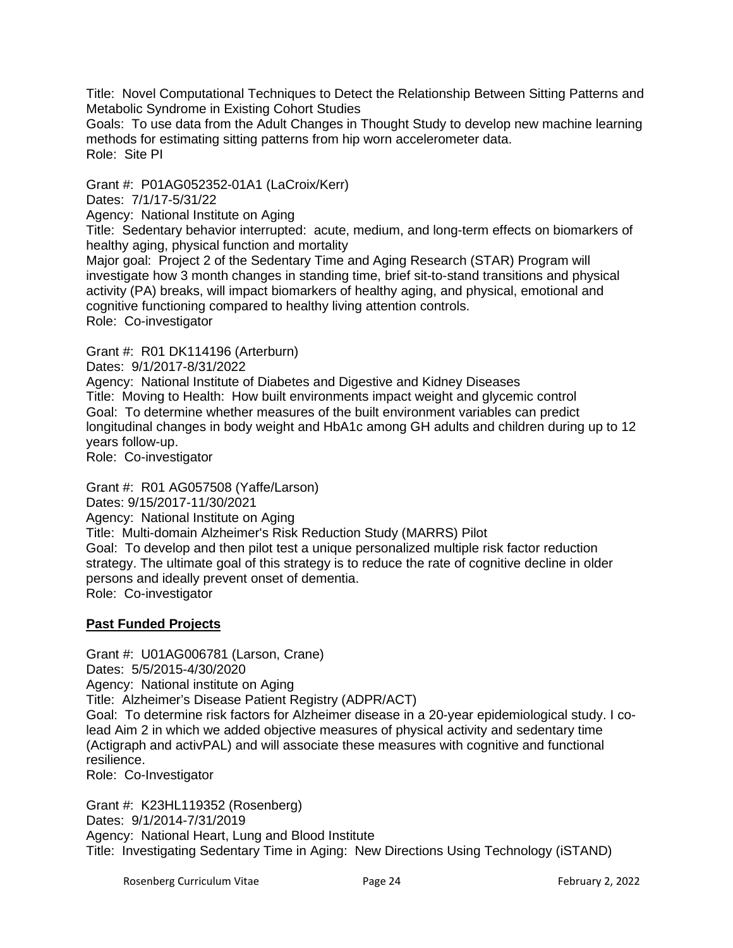Title: Novel Computational Techniques to Detect the Relationship Between Sitting Patterns and Metabolic Syndrome in Existing Cohort Studies

Goals: To use data from the Adult Changes in Thought Study to develop new machine learning methods for estimating sitting patterns from hip worn accelerometer data. Role: Site PI

Grant #: P01AG052352-01A1 (LaCroix/Kerr)

Dates: 7/1/17-5/31/22

Agency: National Institute on Aging

Title: Sedentary behavior interrupted: acute, medium, and long-term effects on biomarkers of healthy aging, physical function and mortality

Major goal: Project 2 of the Sedentary Time and Aging Research (STAR) Program will investigate how 3 month changes in standing time, brief sit-to-stand transitions and physical activity (PA) breaks, will impact biomarkers of healthy aging, and physical, emotional and cognitive functioning compared to healthy living attention controls. Role: Co-investigator

Grant #: R01 DK114196 (Arterburn)

Dates: 9/1/2017-8/31/2022

Agency: National Institute of Diabetes and Digestive and Kidney Diseases Title: Moving to Health: How built environments impact weight and glycemic control Goal: To determine whether measures of the built environment variables can predict longitudinal changes in body weight and HbA1c among GH adults and children during up to 12 years follow-up.

Role: Co-investigator

Grant #: R01 AG057508 (Yaffe/Larson)

Dates: 9/15/2017-11/30/2021

Agency: National Institute on Aging

Title: Multi-domain Alzheimer's Risk Reduction Study (MARRS) Pilot

Goal: To develop and then pilot test a unique personalized multiple risk factor reduction strategy. The ultimate goal of this strategy is to reduce the rate of cognitive decline in older persons and ideally prevent onset of dementia. Role: Co-investigator

### **Past Funded Projects**

Grant #: U01AG006781 (Larson, Crane) Dates: 5/5/2015-4/30/2020 Agency: National institute on Aging Title: Alzheimer's Disease Patient Registry (ADPR/ACT) Goal: To determine risk factors for Alzheimer disease in a 20-year epidemiological study. I colead Aim 2 in which we added objective measures of physical activity and sedentary time (Actigraph and activPAL) and will associate these measures with cognitive and functional resilience. Role: Co-Investigator

Grant #: K23HL119352 (Rosenberg) Dates: 9/1/2014-7/31/2019 Agency: National Heart, Lung and Blood Institute Title: Investigating Sedentary Time in Aging: New Directions Using Technology (iSTAND)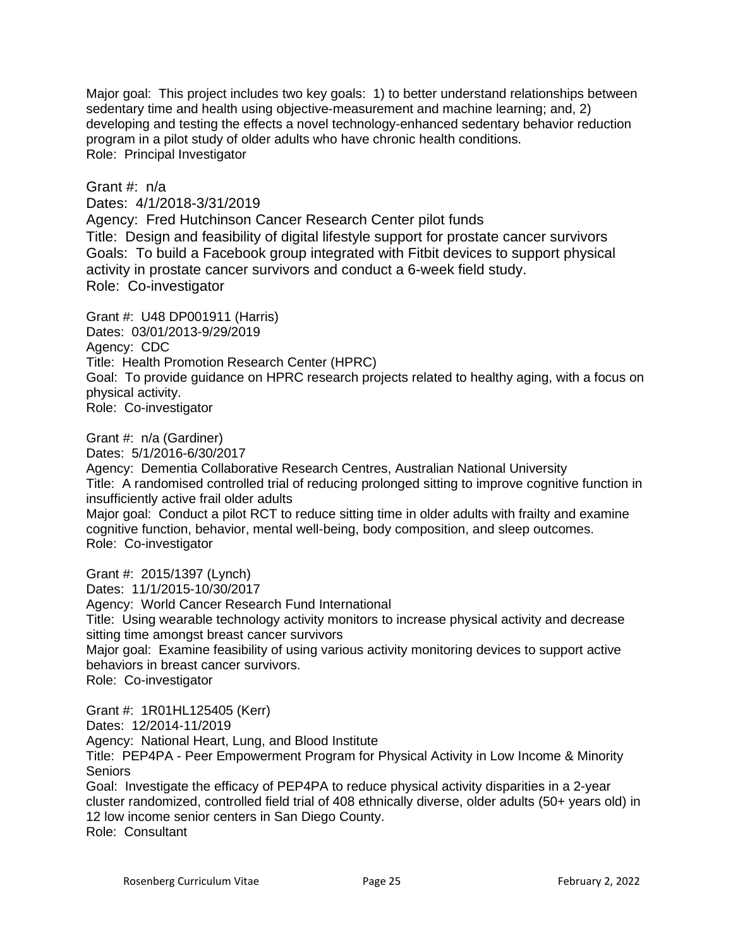Major goal: This project includes two key goals: 1) to better understand relationships between sedentary time and health using objective-measurement and machine learning; and, 2) developing and testing the effects a novel technology-enhanced sedentary behavior reduction program in a pilot study of older adults who have chronic health conditions. Role: Principal Investigator

Grant  $\#$  n/a

Dates: 4/1/2018-3/31/2019

Agency: Fred Hutchinson Cancer Research Center pilot funds Title: Design and feasibility of digital lifestyle support for prostate cancer survivors Goals: To build a Facebook group integrated with Fitbit devices to support physical activity in prostate cancer survivors and conduct a 6-week field study. Role: Co-investigator

Grant #: U48 DP001911 (Harris) Dates: 03/01/2013-9/29/2019 Agency: CDC Title: Health Promotion Research Center (HPRC) Goal: To provide guidance on HPRC research projects related to healthy aging, with a focus on physical activity. Role: Co-investigator

Grant #: n/a (Gardiner)

Dates: 5/1/2016-6/30/2017

Agency: Dementia Collaborative Research Centres, Australian National University Title: A randomised controlled trial of reducing prolonged sitting to improve cognitive function in insufficiently active frail older adults Major goal: Conduct a pilot RCT to reduce sitting time in older adults with frailty and examine cognitive function, behavior, mental well-being, body composition, and sleep outcomes. Role: Co-investigator

Grant #: 2015/1397 (Lynch) Dates: 11/1/2015-10/30/2017 Agency: World Cancer Research Fund International Title: Using wearable technology activity monitors to increase physical activity and decrease sitting time amongst breast cancer survivors Major goal: Examine feasibility of using various activity monitoring devices to support active behaviors in breast cancer survivors. Role: Co-investigator

Grant #: 1R01HL125405 (Kerr) Dates: 12/2014-11/2019 Agency: National Heart, Lung, and Blood Institute Title: PEP4PA - Peer Empowerment Program for Physical Activity in Low Income & Minority **Seniors** Goal: Investigate the efficacy of PEP4PA to reduce physical activity disparities in a 2-year cluster randomized, controlled field trial of 408 ethnically diverse, older adults (50+ years old) in

12 low income senior centers in San Diego County. Role: Consultant

Rosenberg Curriculum Vitae **February 2, 2022** Page 25 February 2, 2022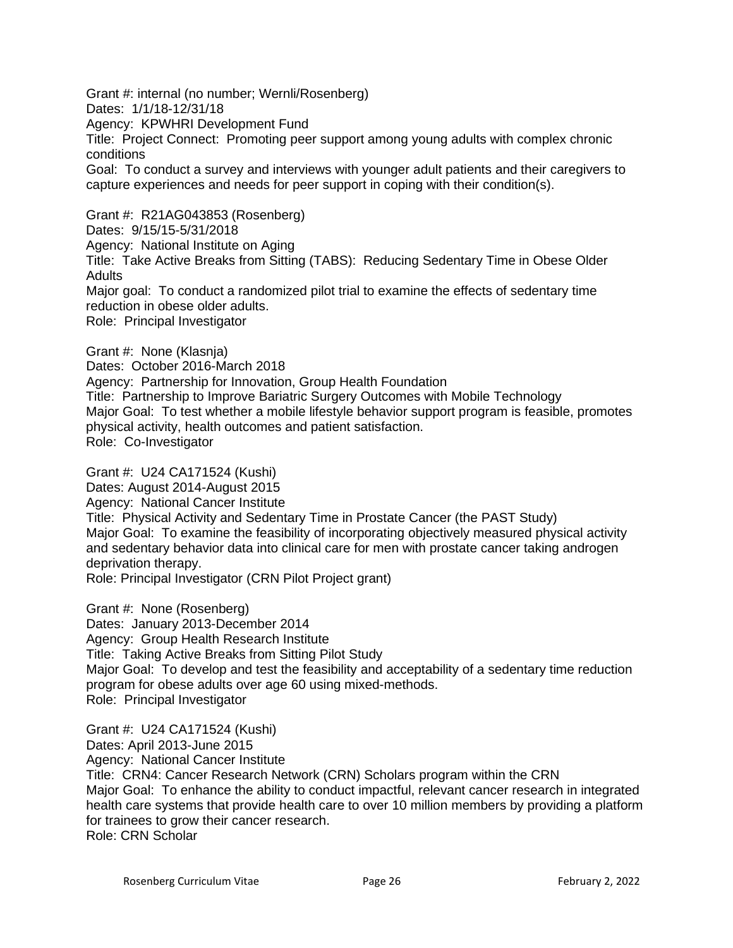Grant #: internal (no number; Wernli/Rosenberg) Dates: 1/1/18-12/31/18 Agency: KPWHRI Development Fund Title: Project Connect: Promoting peer support among young adults with complex chronic conditions Goal: To conduct a survey and interviews with younger adult patients and their caregivers to capture experiences and needs for peer support in coping with their condition(s). Grant #: R21AG043853 (Rosenberg) Dates: 9/15/15-5/31/2018 Agency: National Institute on Aging

Title: Take Active Breaks from Sitting (TABS): Reducing Sedentary Time in Obese Older **Adults** 

Major goal: To conduct a randomized pilot trial to examine the effects of sedentary time reduction in obese older adults.

Role: Principal Investigator

Grant #: None (Klasnja)

Dates: October 2016-March 2018

Agency: Partnership for Innovation, Group Health Foundation

Title: Partnership to Improve Bariatric Surgery Outcomes with Mobile Technology Major Goal: To test whether a mobile lifestyle behavior support program is feasible, promotes physical activity, health outcomes and patient satisfaction.

Role: Co-Investigator

Grant #: U24 CA171524 (Kushi) Dates: August 2014-August 2015 Agency: National Cancer Institute Title: Physical Activity and Sedentary Time in Prostate Cancer (the PAST Study) Major Goal: To examine the feasibility of incorporating objectively measured physical activity and sedentary behavior data into clinical care for men with prostate cancer taking androgen deprivation therapy. Role: Principal Investigator (CRN Pilot Project grant)

Grant #: None (Rosenberg) Dates: January 2013-December 2014 Agency: Group Health Research Institute Title: Taking Active Breaks from Sitting Pilot Study Major Goal: To develop and test the feasibility and acceptability of a sedentary time reduction program for obese adults over age 60 using mixed-methods. Role: Principal Investigator

Grant #: U24 CA171524 (Kushi) Dates: April 2013-June 2015 Agency: National Cancer Institute Title: CRN4: Cancer Research Network (CRN) Scholars program within the CRN Major Goal: To enhance the ability to conduct impactful, relevant cancer research in integrated health care systems that provide health care to over 10 million members by providing a platform for trainees to grow their cancer research. Role: CRN Scholar